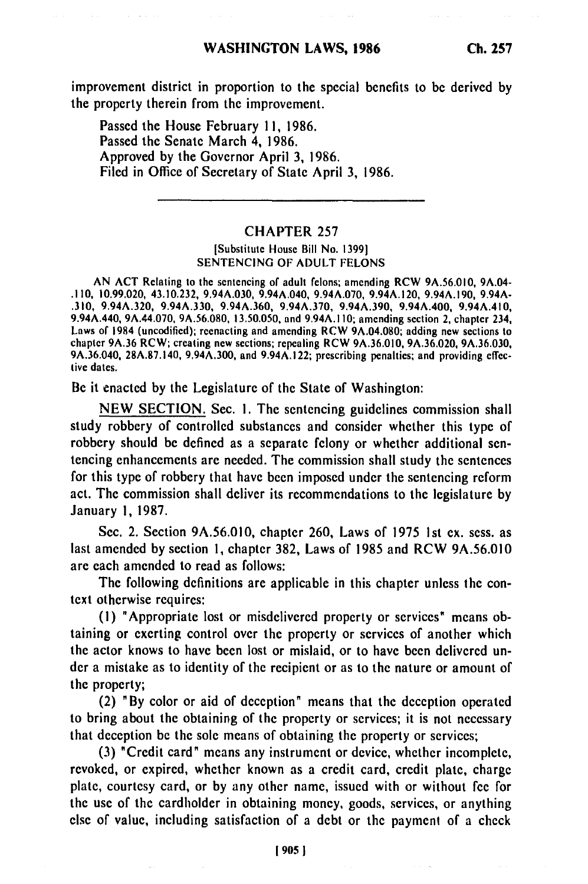improvement district in proportion to the special benefits to be derived **by** the property therein from the improvement.

Passed the House February **11, 1986.** Passed the Senate March 4, **1986.** Approved **by** the Governor April **3, 1986.** Filed in Office of Secretary of State April **3, 1986.**

#### CHAPTER **257**

ISubstitutc House Bill No. **1399] SENTENCING** OF **ADULT FELONS**

**AN ACT** Relating to **the** sentencing **of** adult felons; amending RCW **9A.56.010,** 9A.04- **.110, 10.99.020,** 43.10.232, 9.94A.030, 9.94A.040, **9.94A.070,** 9.94A.120, 9.94A.190, 9.94A- **.310,** 9.94A.320, **9.94A.330, 9.94A.360, 9.94A.370, 9.94A.390,** 9.94A.400, 9.94A.410, 9.94A.440, 9A.44.070, **9A.56.080, 13.50.050,** and 9.94A.I **10;** amending section 2, chapter 234, Laws of 1984 (uncodified); reenacting and amending RCW **9A.04.080;** adding new sections to chapter **9A.36** RCW; creating new sections; repealing RCW **9A.36.010, 9A.36.020, 9A.36.030, 9A.36.040, 28A.87.140,** 9.94A.300, and 9.94A. 122; prescribing penalties; and providing **cffec**live dates.

Be it enacted **by** the Legislature **of** the State of Washington:

**NEW SECTION.** Sec. **I.** The sentencing guidelines commission shall study robbery of controlled substances and consider whether this type of robbery should be defined as a separate felony or whether additional sentencing enhancements are needed. The commission shall study the sentences for this type of robbery that have been imposed under the sentencing reform act. The commission shall deliver its recommendations to the legislature **by** January **1, 1987.**

Sec. 2. Section **9A.56.010,** chapter **260,** Laws of **1975 1st ex.** sess. as last amended **by** section **1,** chapter **382,** Laws of **1985** and RCW **9A.56.010** are each amended to read as follows:

The following definitions are applicable in this chapter unless the context otherwise requires:

**(1)** "Appropriate lost or misdelivered property or services" means obtaining or exerting control over the property or services of another which the actor knows to have been lost or mislaid, or to have been delivered under a mistake as to identity of the recipient or as to the nature or amount of the property;

(2) **"By** color or aid of deception" means that the deception operated to bring about the obtaining of the property or services; it is not necessary that deception **be** the sole means of obtaining the property or services;

**(3)** "Credit card" means any instrument or device, whether incomplete, revoked, or expired, whether known as a credit card, credit plate, charge plate, courtesy card, or **by** any other name, issued with or without **fee** for the **use** of the cardholder in obtaining money, goods, services, or anything else of value, including satisfaction of a debt or the payment of a check

**Ch. 257**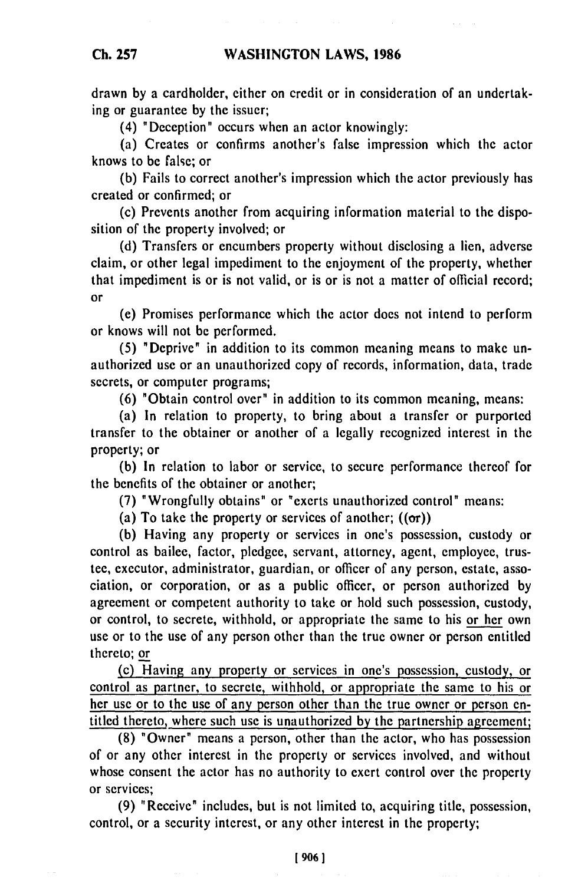**Ch. 257**

drawn by a cardholder, either on credit or in consideration of an undertaking or guarantee by the issuer;

(4) "Deception" occurs when an actor knowingly:

(a) Creates or confirms another's false impression which the actor knows to be false; or

(b) Fails to correct another's impression which the actor previously has created or confirmed; or

(c) Prevents another from acquiring information material to the disposition of the property involved; or

(d) Transfers or encumbers property without disclosing a lien, adverse claim, or other legal impediment to the enjoyment of the property, whether that impediment is or is not valid, or is or is not a matter of official record; or

(e) Promises performance which the actor does not intend to perform or knows will not be performed.

(5) "Deprive" in addition to its common meaning means to make unauthorized use or an unauthorized copy of records, information, data, trade secrets, or computer programs;

(6) "Obtain control over" in addition to its common meaning, means:

(a) In relation to property, to bring about a transfer or purported transfer to the obtainer or another of a legally recognized interest in the property; or

(b) In relation to labor or service, to secure performance thereof for the benefits of the obtainer or another;

(7) "Wrongfully obtains" or "exerts unauthorized control" means:

(a) To take the property or services of another;  $((\sigma r))$ 

(b) Having any property or services in one's possession, custody or control as bailee, factor, pledgee, servant, attorney, agent, employee, trustee, executor, administrator, guardian, or officer of any person, estate, association, or corporation, or as a public officer, or person authorized by agreement or competent authority to take or hold such possession, custody, or control, to secrete, withhold, or appropriate the same to his or her own use or to the use of any person other than the true owner or person entitled thereto; or

(c) Having any property or services in one's possession, custody, or control as partner, to secrete, withhold, or appropriate the same to his or her use or to the use of any person other than the true owner or person entitled thereto, where such use is unauthorized by the partnership agreement;

(8) "Owner" means a person, other than the actor, who has possession of or any other interest in the property or services involved, and without whose consent the actor has no authority to exert control over the property or services;

(9) "Receive" includes, but is not limited to, acquiring title, possession, control, or a security interest, or any other interest in the property;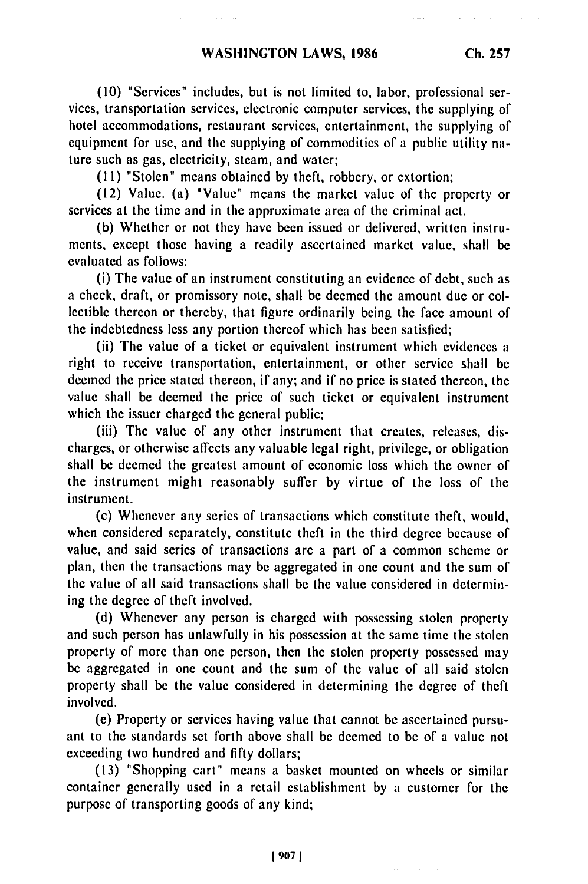(10) "Services" includes, but is not limited to, labor, professional services, transportation services, electronic computer services, the supplying of hotel accommodations, restaurant services, entertainment, the supplying of equipment for use, and the supplying of commodities of a public utility nature such as gas, electricity, steam, and water;

(I1) "Stolen" means obtained by theft, robbery, or extortion;

(12) Value. (a) "Value" means the market value of the property or services at the time and in the approximate area of the criminal act.

(b) Whether or not they have been issued or delivered, written instruments, except those having a readily ascertained market value, shall be evaluated as follows:

(i) The value of an instrument constituting an evidence of debt, such as a check, draft, or promissory note, shall be deemed the amount due or collectible thereon or thereby, that figure ordinarily being the face amount of the indebtedness less any portion thereof which has been satisfied;

(ii) The value of a ticket or equivalent instrument which evidences a right to receive transportation, entertainment, or other service shall be deemed the price stated thereon, if any; and if no price is stated thereon, the value shall be deemed the price of such ticket or equivalent instrument which the issuer charged the general public;

(iii) The value of any other instrument that creates, releases, discharges, or otherwise affects any valuable legal right, privilege, or obligation shall be deemed the greatest amount of economic loss which the owner of the instrument might reasonably suffer by virtue of the loss of the instrument.

(c) Whenever any series of transactions which constitute theft, would, when considered separately, constitute theft in the third degree because of value, and said series of transactions are a part of a common scheme or plan, then the transactions may be aggregated in one count and the sum of the value of all said transactions shall be the value considered in determining the degree of theft involved.

(d) Whenever any person is charged with possessing stolen property and such person has unlawfully in his possession at the same time the stolen property of more than one person, then the stolen property possessed may be aggregated in one count and the sum of the value of all said stolen property shall be the value considered in determining the degree of theft involved.

(e) Property or services having value that cannot be ascertained pursuant to the standards set forth above shall be deemed to be of a value not exceeding two hundred and fifty dollars;

(13) "Shopping cart" means a basket mounted on wheels or similar container generally used in a retail establishment by a customer for the purpose of transporting goods of any kind;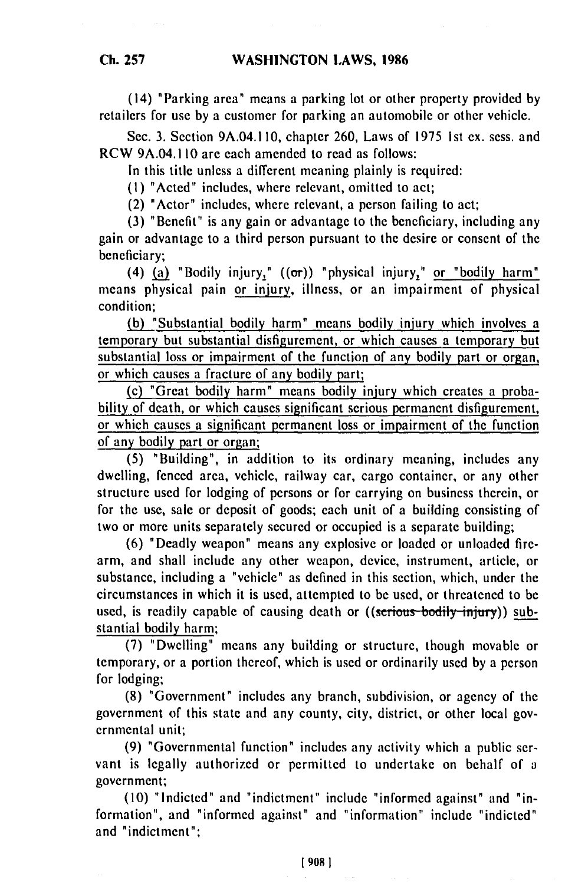(14) "Parking area" means a parking lot or other property provided by retailers for use by a customer for parking an automobile or other vehicle.

Sec. 3. Section 9A.04.1 10, chapter 260, Laws of 1975 1st ex. sess. and RCW 9A.04.1 10 are each amended to read as follows:

In this title unless a different meaning plainly is required:

**(1)** "Acted" includes, where relevant, omitted to act;

(2) "Actor" includes, where relevant, a person failing to act;

(3) "Benefit" is any gain or advantage to the beneficiary, including any gain or advantage to a third person pursuant to the desire or consent of the beneficiary;

(4) (a) "Bodily injury,"  $((\sigma r))$  "physical injury," or "bodily harm" means physical pain or injury, illness, or an impairment of physical condition;

**(b)** "Substantial bodily harm" means bodily injury which involves a temporary but substantial disfigurement, or which causes a temporary but substantial loss or impairment of the function of any bodily part or organ, or which causes a fracture of any bodily part;

(c) "Great bodily harm" means bodily injury which creates a probability of death, or which causes significant serious permanent disfigurement, or which causes a significant permanent loss or impairment of the function of any bodily part or organ;

(5) "Building", in addition to its ordinary meaning, includes any dwelling, fenced area, vehicle, railway car, cargo container, or any other structure used for lodging of persons or for carrying on business therein, or for the use, sale or deposit of goods; each unit of a building consisting of two or more units separately secured or occupied is a separate building;

(6) "Deadly weapon" means any explosive or loaded or unloaded firearm, and shall include any other weapon, device, instrument, article, or substance, including a "vehicle" as defined in this section, which, under the circumstances in which it is used, attempted to be used, or threatened to be used, is readily capable of causing death or ((serious bodily injury)) substantial bodily harm;

(7) "Dwelling" means any building or structure, though movable or temporary, or a portion thereof, which is used or ordinarily used by a person for lodging;

(8) "Government" includes any branch, subdivision, or agency of the government of this state and any county, city, district, or other local governmental unit;

(9) "Governmental function" includes any activity which a public servant is legally authorized or permitted to undertake on behalf of a government;

(10) "Indicted" and "indictment" include "informed against" and "information", and "informed against" and "information" include "indicted" and "indictment";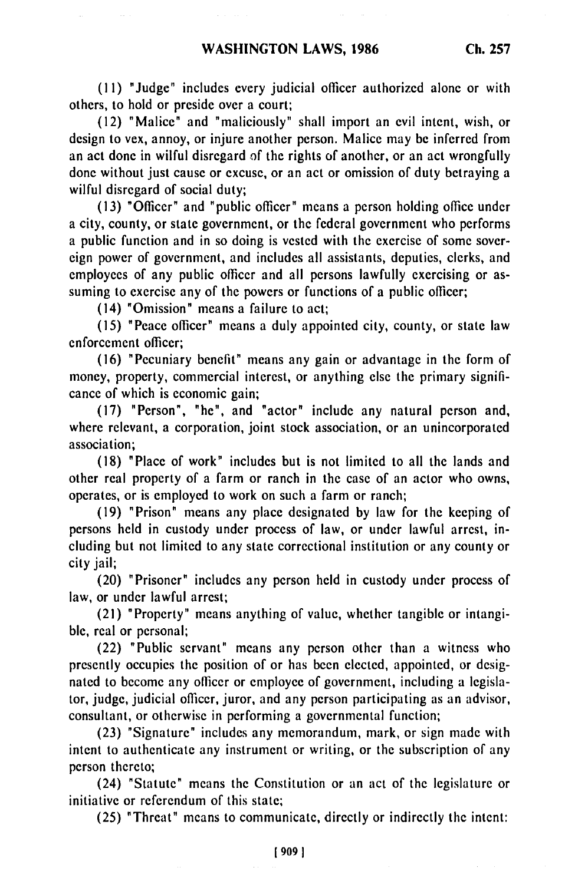**(11)** "Judge" includes every judicial officer authorized alone or with others, to hold or preside over a court;

(12) "Malice" and "maliciously" shall import an evil intent, wish, or design to vex, annoy, or injure another person. Malice may be inferred from an act done in wilful disregard of the rights of another, or an act wrongfully done without just cause or excuse, or an act or omission of duty betraying a wilful disregard of social duty;

(13) "Officer" and "public officer" means a person holding office under a city, county, or state government, or the federal government who performs a public function and in so doing is vested with the exercise of some sovereign power of government, and includes all assistants, deputies, clerks, and employees of any public officer and all persons lawfully exercising or assuming to exercise any of the powers or functions of a public officer;

(14) "Omission" means a failure to act;

(15) "Peace officer" means a duly appointed city, county, or state law enforcement officer;

(16) "Pecuniary benefit" means any gain or advantage in the form of money, property, commercial interest, or anything else the primary significance of which is economic gain;

(17) "Person", "he", and "actor" include any natural person and, where relevant, a corporation, joint stock association, or an unincorporated association;

(18) "Place of work" includes but is not limited to all the lands and other real property of a farm or ranch in the case of an actor who owns, operates, or is employed to work on such a farm or ranch;

(19) "Prison" means any place designated by law for the keeping of persons held in custody under process of law, or under lawful arrest, including but not limited to any state correctional institution or any county or city jail;

(20) "Prisoner" includes any person held in custody under process of law, or under lawful arrest;

(21) "Property" means anything of value, whether tangible or intangible, real or personal;

(22) "Public servant" means any person other than a witness who presently occupies the position of or has been elected, appointed, or designated to become any officer or employee of government, including a legislator, judge, judicial officer, juror, and any person participating as an advisor, consultant, or otherwise in performing a governmental function;

(23) "Signature" includes any memorandum, mark, or sign made with intent to authenticate any instrument or writing, or the subscription of any person thereto;

(24) "Statute" means the Constitution or an act of the legislature or initiative or referendum of this state;

(25) "Threat" means to communicate, directly or indirectly the intent: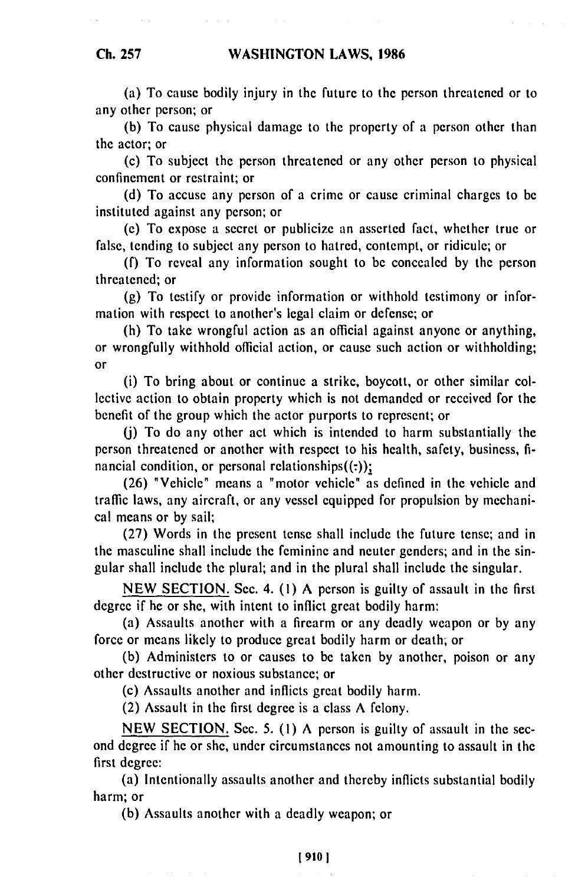(a) To cause bodily injury in the future to the person threatened or to any other person; or

(b) To cause physical damage to the property of a person other than the actor; or

(c) To subject the person threatened or any other person to physical confinement or restraint; or

(d) To accuse any person of a crime or cause criminal charges to be instituted against any person; or

(e) To expose a secret or publicize an asserted fact, whether true or false, tending to subject any person to hatred, contempt, or ridicule; or

(f) To reveal any information sought to be concealed by the person threatened; or

(g) To testify or provide information or withhold testimony or information with respect to another's legal claim or defense; or

(h) To take wrongful action as an official against anyone or anything, or wrongfully withhold official action, or cause such action or withholding; or

(i) To bring about or continue a strike, boycott, or other similar collective action to obtain property which is not demanded or received for the benefit of the group which the actor purports to represent; or

(j) To do any other act which is intended to harm substantially the person threatened or another with respect to his health, safety, business, financial condition, or personal relationships $((:)$ ;

(26) "Vehicle" means a "motor vehicle" as defined in the vehicle and traffic laws, any aircraft, or any vessel equipped for propulsion by mechanical means or by sail;

(27) Words in the present tense shall include the future tense; and in the masculine shall include the feminine and neuter genders; and in the singular shall include the plural; and in the plural shall include the singular.

NEW SECTION. Sec. 4. (1) A person is guilty of assault in the first degree if he or she, with intent to inflict great bodily harm:

(a) Assaults another with a firearm or any deadly weapon or by any force or means likely to produce great bodily harm or death; or

(b) Administers to or causes to be taken by another, poison or any other destructive or noxious substance; or

(c) Assaults another and inflicts great bodily harm.

(2) Assault in the first degree is a class A felony.

NEW SECTION. Sec. 5. **(1)** A person is guilty of assault in the second degree if he or she, under circumstances not amounting to assault in the first degree:

(a) Intentionally assaults another and thereby inflicts substantial bodily harm; or

(b) Assaults another with a deadly weapon; or

#### **19101**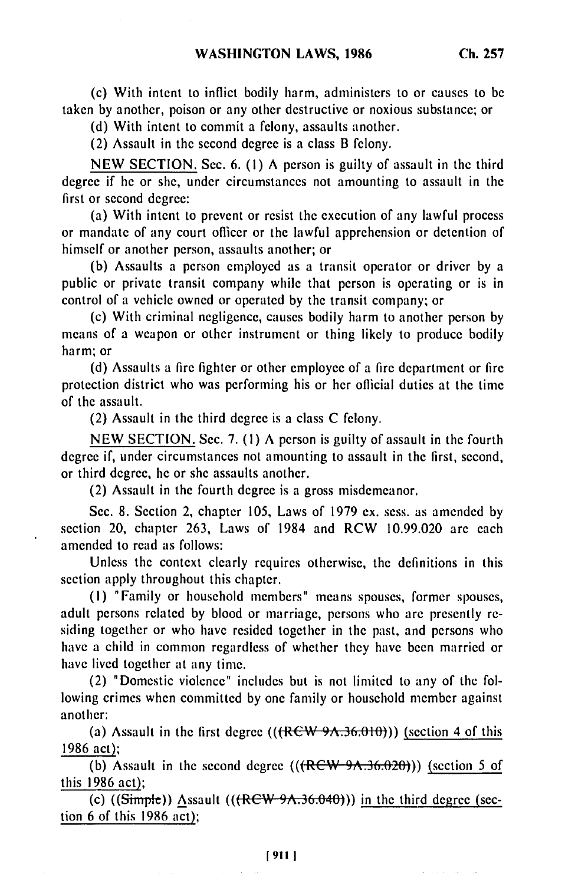(c) With intent to inflict bodily harm, administers to or causes to be taken by another, poison or any other destructive or noxious substance; or

(d) With intent to commit a felony, assaults another.

(2) Assault in the second degree is a class B felony.

NEW SECTION. Sec. 6. **(1)** A person is guilty of assault in the third degree if he or she, under circumstances not amounting to assault in the first or second degree:

(a) With intent to prevent or resist the execution of any lawful process or mandate of any court officer or the lawful apprehension or detention of himself or another person, assaults another; or

(b) Assaults a person employed as a transit operator or driver by a public or private transit company while that person is operating or is in control of a vehicle owned or operated by the transit company; or

(c) With criminal negligence, causes bodily harm to another person by means of a weapon or other instrument or thing likely to produce bodily harm; or

(d) Assaults a fire fighter or other employee of a fire department or fire protection district who was performing his or her oflicial duties at the time of the assault.

(2) Assault in the third degree is a class C felony.

NEW SECTION. Sec. 7. **(1)** A person is guilty of assault in the fourth degree if, under circumstances not amounting to assault in the first, second, or third degree, he or she assaults another.

(2) Assault in the fourth degree is a gross misdemeanor.

Sec. 8. Section 2, chapter 105, Laws of 1979 ex. sess. as amended by section 20, chapter 263, Laws of 1984 and RCW 10.99.020 are each amended to read as follows:

Unless the context clearly requires otherwise, the definitions in this section apply throughout this chapter.

**(1)** "Family or household members" means spouses, former spouses, adult persons related by blood or marriage, persons who are presently residing together or who have resided together in the past, and persons who have a child in common regardless of whether they have been married or have lived together at any time.

(2) "Domestic violence" includes but is not limited to any of the following crimes when committed by one family or household member against another:

(a) Assault in the first degree  $((R<sup>2</sup>W<sup>9</sup>A.36.010))$  (section 4 of this 1986 act);

(b) Assault in the second degree  $(((RCW-9A.36.020)))$  (section 5 of this 1986 act);

(c) ((Siwrpfe)) Assault (((ReW **9A.36.4Q)))** in the third degree (section 6 of this 1986 act);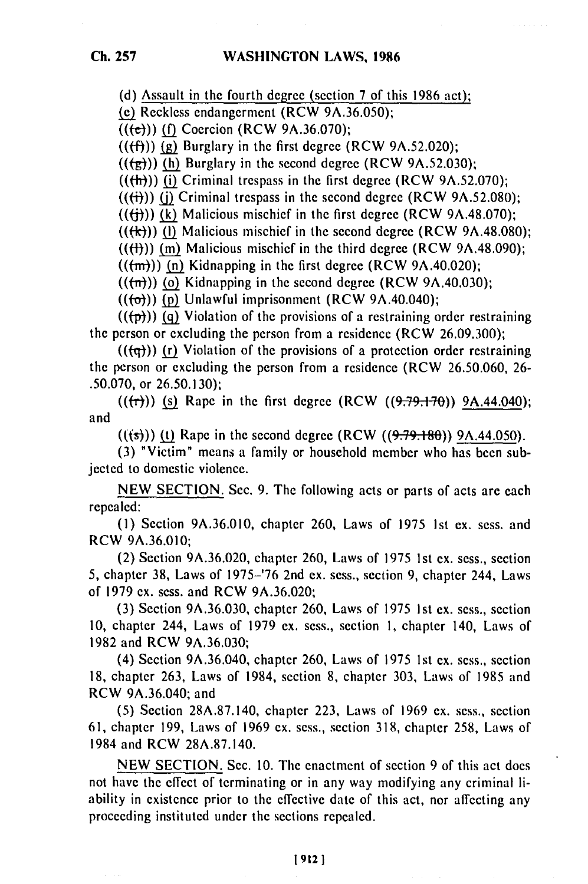**(d)** Assault in the fourth degree (section 7 of this **1986** act);

**(e)** Reckless endangerment (RCW **9A.36.050);**

**(((e))) (f)** Coercion (RCW **9A.36.070);**

 $((\text{f}^{\text{f}}))$  (g) Burglary in the first degree (RCW  $9A.52.020$ );

 $((f_{\overline{g}}))$  (h) Burglary in the second degree (RCW  $9A.52.030$ );

**((th))) (i)** Criminal trespass in the first degree (RCW **9A.52.070);**

**((())) (j)** Criminal trespass in the second degree (RCW **9A.52.080);**

 $((\text{ii}))$  (k) Malicious mischief in the first degree (RCW  $9A.48.070$ );

**((-k-)) ()** Malicious mischief in the second degree (RCW **9A.48.080);**

**(({+))) (m)** Malicious mischief in the third degree (RCW **9A.48.090);**

(((m))) (n) Kidnapping in the first degree (RCW 9A.40.020);

 $((\text{m}))$  (o) Kidnapping in the second degree (RCW 9A.40.030);

 $((\omega))$  (p) Unlawful imprisonment (RCW 9A.40.040);

 $((\lbrace p \rbrace))$  (q) Violation of the provisions of a restraining order restraining the person or excluding the person from a residence (RCW **26.09.300);**

 $((\langle q \rangle))$  (r) Violation of the provisions of a protection order restraining the person or excluding the person from a residence (RCW **26.50.060, 26- .50.070,** or **26.50.130);**

 $((\text{tr}))$  (s) Rape in the first degree (RCW  $((9.79.170))$  9A.44.040); and

 $(($ ( $(\ast)$ )) (t) Rape in the second degree (RCW  $((9.79.180))$  9A.44.050).

**(3)** "Victim" means a family or household member who has been subjected to domestic violence.

**NEW SECTION.** Sec. **9.** The following acts or parts of acts are each repealed:

**(1)** Section **9A.36.010,** chapter **260,** Laws of **1975 Ist** ex. sess. and RCW **9A.36.010;**

(2) Section **9A.36.020,** chapter **260,** Laws of **1975 Ist** ex. sess., section **5,** chapter **38,** Laws of **1975-'76** 2nd **ex.** sess., section **9,** chapter 244, Laws of **1979 ex.** sess. and RCW **9A.36.020;**

**(3)** Section **9A.36.030,** chapter **260,** Laws of **1975** Ist ex. sess., section **10,** chapter 244, Laws of **1979 ex.** sess., section **1,** chapter 140, Laws of **1982** and RCW **9A.36.030;**

(4) Section **9A.36.040,** chapter **260,** Laws of **1975 Ist ex.** sess., section **18,** chapter **263,** Laws of 1984, section **8,** chapter **303,** Laws of **1985** and RCW **9A.36.040;** and

**(5)** Section **28A.87.140,** chapter 223, Laws of **1969 ex.** sess., section **61,** chapter **199,** Laws of **1969** ex. sess., section **318,** chapter **258,** Laws of 1984 and RCW **28A.87.140.**

**NEW SECTION.** Sec. **10.** The enactment of section **9** of this act does not have the effect of terminating or in any way modifying any criminal liability in existence prior to the effective date of this act, nor affecting any proceeding instituted under the sections repealed.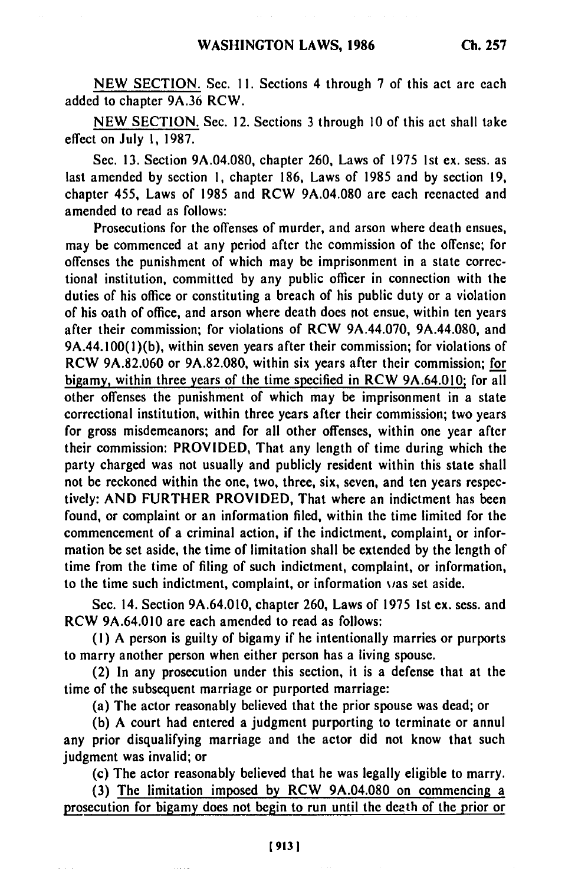**NEW** SECTION. Sec. 11. Sections 4 through 7 of this act are each added to chapter 9A.36 RCW.

NEW SECTION. Sec. 12. Sections 3 through **10** of this act shall take effect on July 1, 1987.

Sec. 13. Section 9A.04.080, chapter 260, Laws of 1975 1st ex. sess. as last amended by section **1,** chapter 186, Laws of 1985 and by section 19, chapter 455, Laws of 1985 and RCW 9A.04.080 are each reenacted and amended to read as follows:

Prosecutions for the offenses of murder, and arson where death ensues, may be commenced at any period after the commission of the offense; for offenses the punishment of which may be imprisonment in a state correctional institution, committed by any public officer in connection with the duties of his office or constituting a breach of his public duty or a violation of his oath of office, and arson where death does not ensue, within ten years after their commission; for violations of RCW 9A.44.070, 9A.44.080, and 9A.44.100(l)(b), within seven years after their commission; for violations of RCW 9A.82.060 or 9A.82.080, within six years after their commission; for bigamy, within three years of the time specified in RCW 9A.64.010; for all other offenses the punishment of which may be imprisonment in a state correctional institution, within three years after their commission; two years for gross misdemeanors; and for all other offenses, within one year after their commission: PROVIDED, That any length of time during which the party charged was not usually and publicly resident within this state shall not be reckoned within the one, two, three, six, seven, and ten years respectively: AND FURTHER PROVIDED, That where an indictment has been found, or complaint or an information filed, within the time limited for the commencement of a criminal action, if the indictment, complaint, or information be set aside, the time of limitation shall be extended by the length of time from the time of filing of such indictment, complaint, or information, to the time such indictment, complaint, or information w/as set aside.

Sec. 14. Section 9A.64.010, chapter 260, Laws of 1975 Ist ex. sess. and RCW 9A.64.010 are each amended to read as follows:

**(1)** A person is guilty of bigamy if he intentionally marries or purports to marry another person when either person has a living spouse.

(2) In any prosecution under this section, it is a defense that at the time of the subsequent marriage or purported marriage:

(a) The actor reasonably believed that the prior spouse was dead; or

(b) A court had entered a judgment purporting to terminate or annul any prior disqualifying marriage and the actor did not know that such judgment was invalid; or

(c) The actor reasonably believed that he was legally eligible to marry.

**(3)** The limitation imposed **by** RCW 9A.04.080 on commencing a prosecution for bigamy does not begin to run until the death of the prior or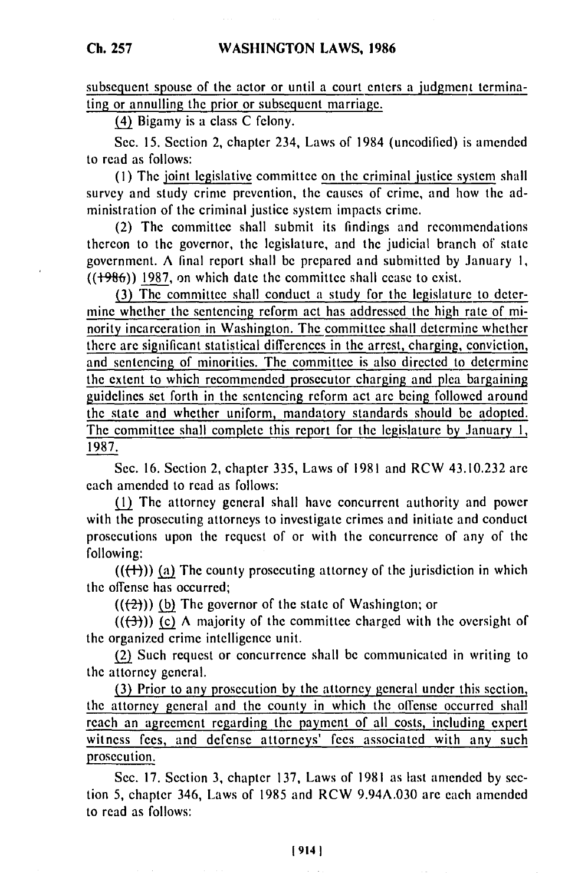subsequent spouse of the actor or until a court enters a judgment terminating or annulling the prior or subsequent marriage.

(41 Bigamy is a class C felony.

Sec. 15. Section 2, chapter 234, Laws of 1984 (uncodified) is amended to read as follows:

(I) The joint legislative committee on the criminal justice system shall survey and study crime prevention, the causes of crime, and how the administration of the criminal justice system impacts crime.

(2) The committee shall submit its findings and recommendations thereon to the governor, the legislature, and the judicial branch of state government. A final report shall be prepared and submitted by January **I,**  $((1986))$  1987, on which date the committee shall cease to exist.

(3) The committee shall conduct a study for the legislature to determine whether the sentencing reform act has addressed the high rate of minority incarceration in Washington. The committee shall determine whether there are significant statistical differences in the arrest, charging, conviction, and sentencing of minorities. The committee is also directed to determine the extent to which recommended prosecutor charging and plea bargaining guidelines set forth in the sentencing reform act are being followed around the state and whether uniform, mandatory standards should be adopted. The committee shall complete this report for the legislature by January **1,** 1987.

Sec. 16. Section 2, chapter 335, Laws of 1981 and RCW 43.10.232 are each amended to read as follows:

(1) The attorney general shall have concurrent authority and power with the prosecuting attorneys to investigate crimes and initiate and conduct prosecutions upon the request of or with the concurrence of any of the following:

 $((+))$  (a) The county prosecuting attorney of the jurisdiction in which the offense has occurred;

 $((2))$  (b) The governor of the state of Washington; or

 $((+3))$  (c) A majority of the committee charged with the oversight of the organized crime intelligence unit.

(2) Such request or concurrence shall be communicated in writing to the attorney general.

**(3)** Prior to any prosecution by the attorney general under this section, the attorney general and the county in which the offense occurred shall reach an agreement regarding the payment of all costs, including expert witness fees, and defense attorneys' fees associated with any such prosecution.

Sec. 17. Section 3, chapter 137, Laws of 1981 as last amended by section **5,** chapter 346, Laws of 1985 and RCW 9.94A.030 are each amended to read as follows:

#### **19141**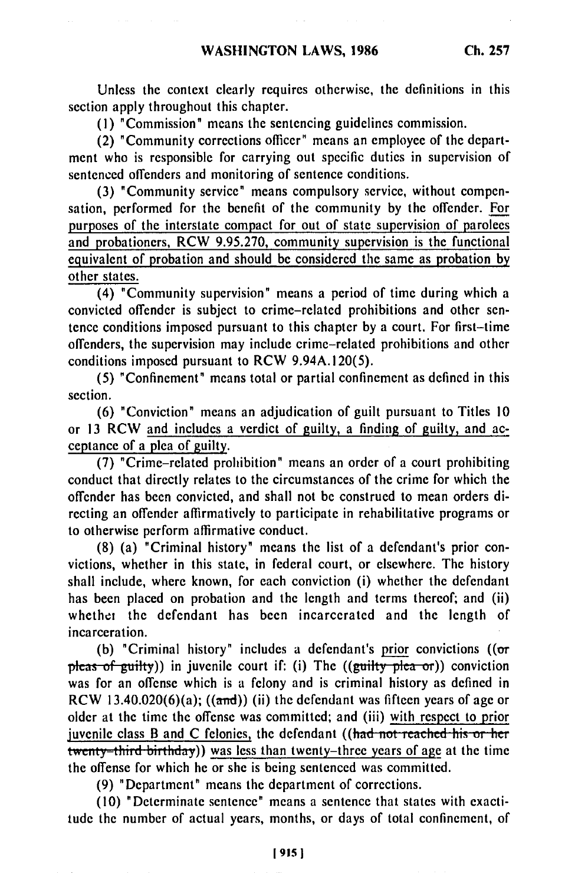Unless the context clearly requires otherwise, the definitions in this section apply throughout this chapter.

**(1)** "Commission" means the sentencing guidelines commission.

(2) "Community corrections officer" means an employee of the department who is responsible for carrying out specific duties in supervision of sentenced offenders and monitoring of sentence conditions.

(3) "Community service" means compulsory service, without compensation, performed for the benefit of the community by the offender. For purposes of the interstate compact for out of state supervision of parolees and probationers, RCW 9.95.270, community supervision is the functional equivalent of probation and should be considered the same as probation by other states.

(4) "Community supervision" means a period of time during which a convicted offender is subject to crime-related prohibitions and other sentence conditions imposed pursuant to this chapter by a court. For first-time offenders, the supervision may include crime-related prohibitions and other conditions imposed pursuant to RCW 9.94A.120(5).

(5) "Confinement" means total or partial confinement as defined in this section.

(6) "Conviction" means an adjudication of guilt pursuant to Titles 10 or 13 RCW and includes a verdict of guilty, a finding of guilty, and acceptance of a plea of guilty.

(7) "Crime-related prohibition" means an order of a court prohibiting conduct that directly relates to the circumstances of the crime for which the offender has been convicted, and shall not be construed to mean orders directing an offender affirmatively to participate in rehabilitative programs or to otherwise perform affirmative conduct.

(8) (a) "Criminal history" means the list of a defendant's prior convictions, whether in this state, in federal court, or elsewhere. The history shall include, where known, for each conviction (i) whether the defendant has been placed on probation and the length and terms thereof; and (ii) whethet the defendant has been incarcerated and the length of incarceration.

(b) "Criminal history" includes a defendant's prior convictions ((or pleas of guilty)) in juvenile court if: (i) The ((guilty plea or)) conviction was for an offense which is a felony and is criminal history as defined in RCW 13.40.020(6)(a);  $((\text{and}))$  (ii) the defendant was fifteen years of age or older at the time the offense was committed; and (iii) with respect to prior juvenile class B and C felonies, the defendant ((had not reached his or her  $t$ wenty-third birthday)) was less than twenty-three years of age at the time the offense for which he or she is being sentenced was committed.

**(9)** "Department" means the department of corrections.

**(10)** "Determinate sentence" means a sentence that states with exactitude the number of actual years, months, or days of total confinement, **of**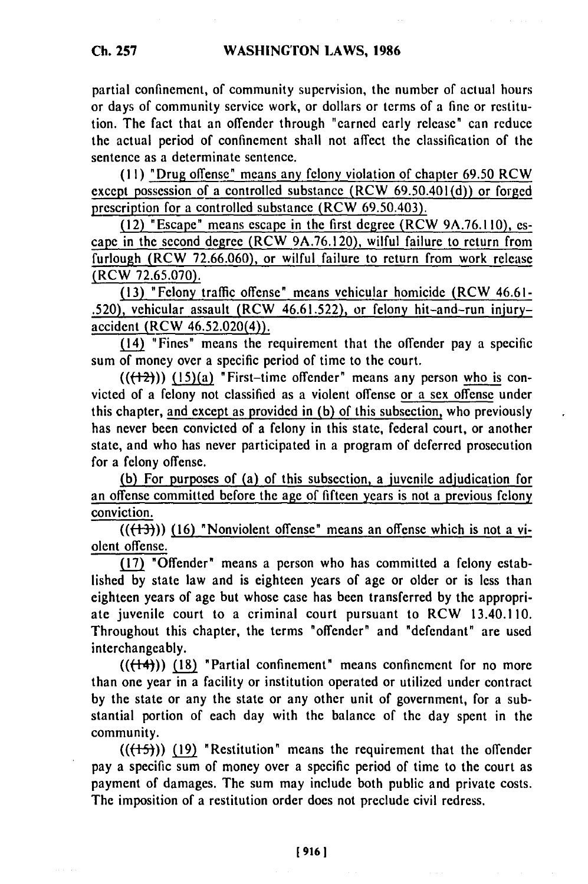partial confinement, of community supervision, the number of actual hours or days of community service work, or dollars or terms of a fine or restitution. The fact that an offender through "earned early release" can reduce the actual period of confinement shall not affect the classification of the sentence as a determinate sentence.

**(11)** "Drug offense" means any felony violation of chapter 69.50 RCW except possession of a controlled substance (RCW 69.50.401(d)) or forged prescription for a controlled substance (RCW 69.50.403).

(12) "Escape" means escape in the first degree (RCW 9A.76.1 10), escape in the second degree (RCW 9A.76.120), wilful failure to return from furlough (RCW 72.66.060), or wilful failure to return from work release (RCW 72.65.070).

(13) "Felony traffic offense" means vehicular homicide (RCW 46.61- .520), vehicular assault (RCW 46.61.522), or felony hit-and-run injuryaccident (RCW 46.52.020(4)).

(14) "Fines" means the requirement that the offender pay a specific sum of money over a specific period of time to the court.

 $((+2))$  (15)(a) "First-time offender" means any person who is convicted of a felony not classified as a violent offense or a sex offense under this chapter, and except as provided in (b) of this subsection, who previously has never been convicted of a felony in this state, federal court, or another state, and who has never participated in a program of deferred prosecution for a felony offense.

**(b)** For purposes of (a) of this subsection, a juvenile adjudication for an offense committed before the age of fifteen years is not a previous felony conviction.

 $((+3))$  (16) "Nonviolent offense" means an offense which is not a violent offense.

**(17)** "Offender" means a person who has committed a felony established by state law and is eighteen years of age or older or is less than eighteen years of age but whose case has been transferred by the appropriate juvenile court to a criminal court pursuant to RCW 13.40.110. Throughout this chapter, the terms "offender" and "defendant" are used interchangeably.

 $((+4))$  (18) "Partial confinement" means confinement for no more than one year in a facility or institution operated or utilized under contract by the state or any the state or any other unit of government, for a substantial portion of each day with the balance of the day spent in the community.

 $((+5))$  (19) "Restitution" means the requirement that the offender pay a specific sum of money over a specific period of time to the court as payment of damages. The sum may include both public and private costs. The imposition of a restitution order does not preclude civil redress.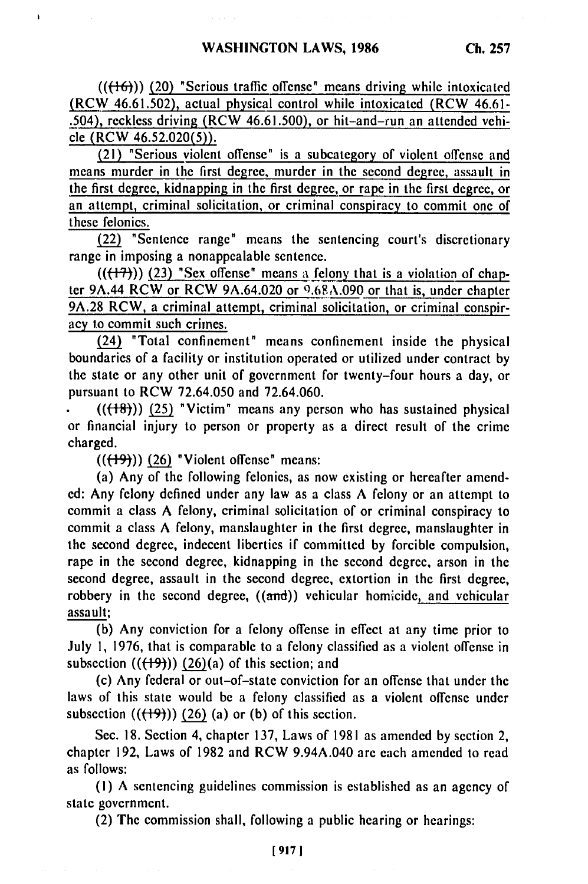$((\{16\}))$  (20) "Serious traffic offense" means driving while intoxicated (RCW 46.61.502), actual physical control while intoxicated (RCW 46.61- .504), reckless driving (RCW 46.61.500), or hit-and-run an attended vehicle (RCW 46.52.020(5)).

(21) "Serious violent offense" is a subcategory of violent offense and means murder in the first degree, murder in the second degree, assault in the first degree, kidnapping in the first degree, or rape in the first degree, or an attempt, criminal solicitation, or criminal conspiracy to commit one of these felonics.

(22) "Sentence range" means the sentencing court's discretionary range in imposing a nonappealable sentence.

 $((\langle +2\rangle)$  (23) "Sex offense" means a felony that is a violation of chapter 9A.44 RCW or RCW 9A.64.020 or **9.68,A.090** or that is, under chapter 9A.28 RCW, a criminal attempt, criminal solicitation, or criminal conspiracy to commit such crimes.

(24) "Total confinement" means confinement inside the physical boundaries of a facility or institution operated or utilized under contract by the state or any other unit of government for twenty-four hours a day, or pursuant to RCW 72.64.050 and 72.64.060.

 $((+8))$  (25) "Victim" means any person who has sustained physical or financial injury to person or property as a direct result of the crime charged.

 $((\langle 19 \rangle)(26)$  "Violent offense" means:

 $\mathbf i$ 

(a) Any of the following felonies, as now existing or hereafter amended: Any felony defined under any law as a class A felony or an attempt to commit a class A felony, criminal solicitation of or criminal conspiracy to commit a class A felony, manslaughter in the first degree, manslaughter in the second degree, indecent liberties if committed by forcible compulsion, rape in the second degree, kidnapping in the second degree, arson in the second degree, assault in the second degree, extortion in the first degree, robbery in the second degree,  $((and))$  vehicular homicide, and vehicular assault;

(b) Any conviction for a felony offense in effect at any time prior to July 1, 1976, that is comparable to a felony classified as a violent offense in subsection  $((\frac{19}{9}))(26)(a)$  of this section; and

(c) Any federal or out-of-state conviction for an offense that under the laws of this state would be a felony classified as a violent offense under subsection  $((\text{(+9)}))$  (26) (a) or (b) of this section.

Sec. 18. Section 4, chapter 137, Laws of 1981 as amended by section 2, chapter 192, Laws of 1982 and RCW 9.94A.040 are each amended to read as follows:

(1) A sentencing guidelines commission is established as an agency of state government.

(2) The commission shall, following a public hearing or hearings: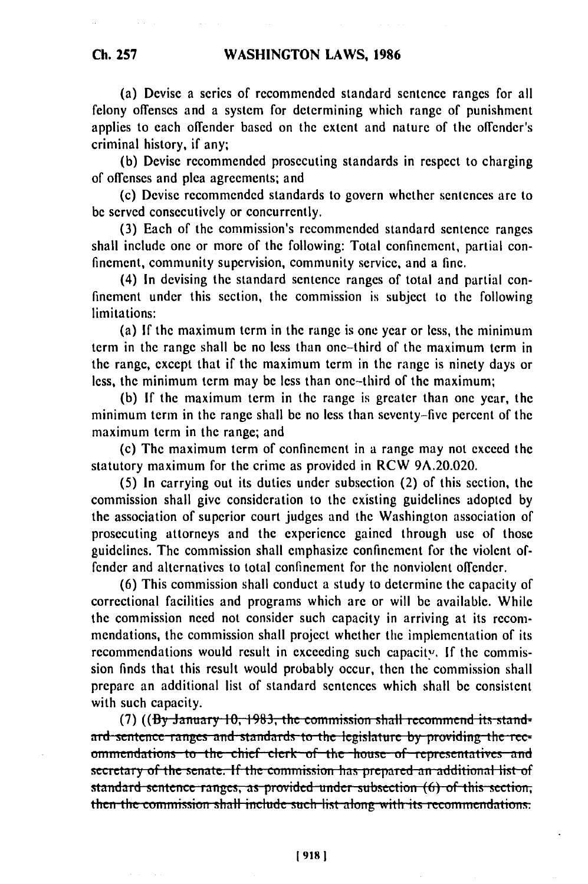**Ch. 257**

(a) Devise a series of recommended standard sentence ranges for all felony offenses and a system **for** determining which range of punishment applies to each offender based on the extent and nature of the offender's criminal history, if any;

(b) Devise recommended prosecuting standards in respect to charging of offenses and plea agreements; and

(c) Devise recommended standards to govern whether sentences are to be served consecutively or concurrently.

(3) Each of the commission's recommended standard sentence ranges shall include one or more of the following: Total confinement, partial confinement, community supervision, community service, and a fine.

(4) In devising the standard sentence ranges of total and partial confinement under this section, the commission is subject to the following limitations:

(a) If the maximum term in the range is one year or less, the minimum term in the range shall be no less than one-third of the maximum term in the range, except that if the maximum term in the range is ninety days or less, the minimum term may be less than one-third of the maximum;

(b) If the maximum term in the range is greater than one year, the minimum term in the range shall be no less than seventy-five percent of the maximum term in the range; and

(c) The maximum term of confinement in a range may not exceed the statutory maximum for the crime as provided in RCW 9A.20.020.

(5) In carrying out its duties under subsection (2) of this section, the commission shall give consideration to the existing guidelines adopted by the association of superior court judges and the Washington association of prosecuting attorneys and the experience gained through use of those guidelines. The commission shall emphasize confinement for the violent offender and alternatives to total confinement for the nonviolent offender.

(6) This commission shall conduct a study to determine the capacity of correctional facilities and programs which are or will be available. While the commission need not consider such capacity in arriving at its recommendations, the commission shall project whether the implementation of its recommendations would result in exceeding such capacity. **If** the commission finds that this result would probably occur, then the commission shall prepare an additional list of standard sentences which shall be consistent with such capacity.

(7) **((By January 10, 1983, the commission shall recommend its stand**ard sentence ranges and standards to the legislature by providing the rec-<br>ommendations to the chief clerk of the house of representatives and secretary of the senate. If the commission has prepared an additional list standard sentence ranges, as provided under subsection  $(6)$  of this section, then the commission shall include such list along with its recommendations: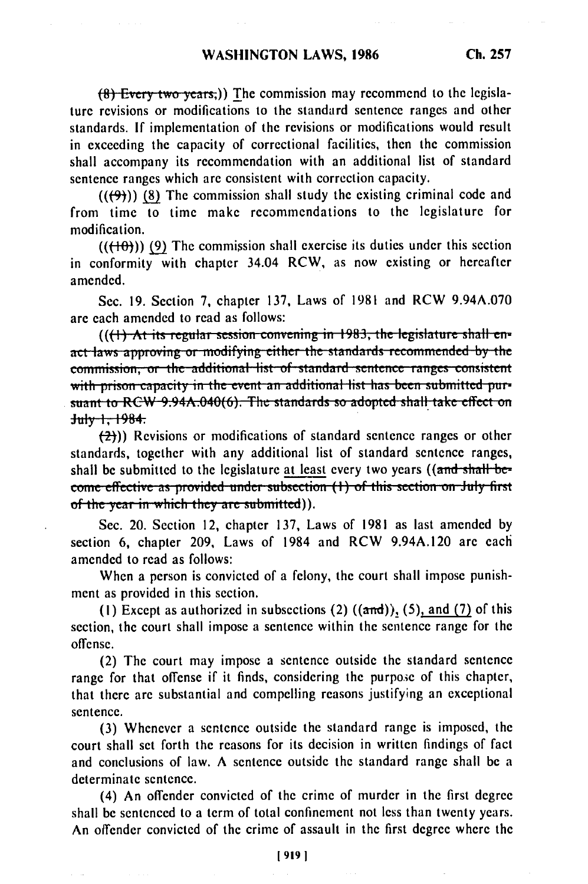**(8) Every two years,))** The commission may recommend to the legislature revisions or modifications to the standard sentence ranges and other standards. If implementation of the revisions or modifications would result in exceeding the capacity of correctional facilities, then the commission shall accompany its recommendation with an additional list of standard sentence ranges which are consistent with correction capacity.

 $((\Theta))$  (8) The commission shall study the existing criminal code and from time to time make recommendations to the legislature for modification.

 $((+10))$  (9) The commission shall exercise its duties under this section in conformity with chapter 34.04 RCW, as now existing or hereafter amended.

Sec. **19.** Section **7,** chapter **137,** Laws of **1981** and RCW **9.94A.070** are each amended to read as follows:

(((1) At its regular session convening in 1983, the legislature shall enact laws approving or modifying either the standards recommended by the commission, or the additional list of standard sentence ranges consistent with prison capacity in the event an additional list has been submitted pursuant-to-RGW 9.94A.040(6). The standards so adopted shall-take effect-on **inly' ',** 984

 $(2)$ )) Revisions or modifications of standard sentence ranges or other standards, together with any additional list of standard sentence ranges, shall be submitted to the legislature at least every two years ((and shall become effective as provided under subsection (1) of this section on July first of the year in which they are submitted)).

Sec. 20. Section 12, chapter 137, Laws of 1981 as last amended by section 6, chapter 209, Laws of 1984 and RCW 9.94A.120 are each amended to read as follows:

When a person is convicted of a felony, the court shall impose punishment as provided in this section.

**(I)** Except as authorized in subsections (2) ((and)), **(5),** and **(7)** of this section, the court shall impose a sentence within the sentence range for the offense.

(2) The court may impose a sentence outside the standard sentence range for that offense if it finds, considering the purpose of this chapter, that there are substantial and compelling reasons justifying an exceptional sentence.

(3) Whenever a sentence outside the standard range is imposed, the court shall set forth the reasons for its decision in written findings of fact and conclusions of law. A sentence outside the standard range shall be a determinate sentence.

(4) An offender convicted of the crime of murder in the first degree shall be sentenced to a term of total confinement not less than twenty years. An offender convicted of the crime of assault in the first degree where the

**19191**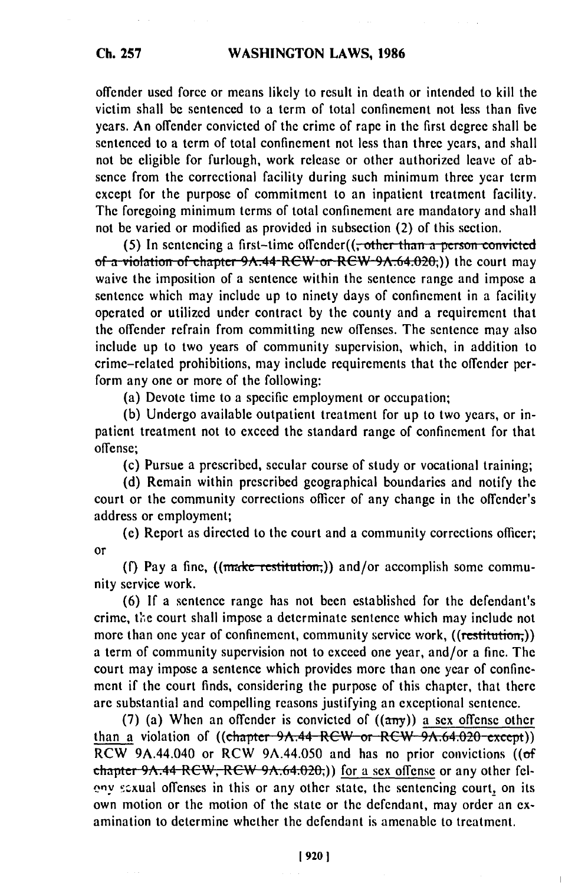offender used force or means likely to result in death or intended to kill the victim shall be sentenced to a term of total confinement not less than five years. An offender convicted of the crime of rape in the first degree shall be sentenced to a term of total confinement not less than three years, and shall not be eligible for furlough, work release or other authorized leave of absence from the correctional facility during such minimum three year term except for the purpose of commitment to an inpatient treatment facility. The foregoing minimum terms of total confinement are mandatory and shall not be varied or modified as provided in subsection (2) of this section.

**(5) In sentencing a first-time offender((<del>, other than a person convicted</del>) of a violation of chapter 9A.44 RCW or RCW 9A.64.020;)) the court may** waive the imposition of a sentence within the sentence range and impose a sentence which may include up to ninety days of confinement in a facility operated or utilized under contract by the county and a requirement that the offender refrain from committing new offenses. The sentence may also include up to two years of community supervision, which, in addition to crime-related prohibitions, may include requirements that the offender perform any one or more of the following:

(a) Devote time to a specific employment or occupation;

(b) Undergo available outpatient treatment for up to two years, or inpatient treatment not to exceed the standard range of confinement for that offense;

(c) Pursue a prescribed, secular course of study or vocational training;

(d) Remain within prescribed geographical boundaries and notify the court or the community corrections officer of any change in the offender's address or employment;

(e) Report as directed to the court and a community corrections officer; or

(f) Pay a fine, ((make restitution;)) and/or accomplish some community service work.

(6) If a sentence range has not been established for the defendant's crime, the court shall impose a determinate sentence which may include not more than one year of confinement, community service work, ((restitution,)) a term of community supervision not to exceed one year, and/or a fine. The court may impose a sentence which provides more than one year of confinement if the court finds, considering the purpose of this chapter, that there are substantial and compelling reasons justifying an exceptional sentence.

(7) (a) When an offender is convicted of  $((a\pi y))$  a sex offense other than a violation of ((chapter 9A.44 RCW or RCW 9A.64.020 except)) RCW 9A.44.040 or RCW 9A.44.050 and has no prior convictions ((of chapter 9A.44 RCW, RCW 9A.64.020;)) for a sex offense or any other felonv cxual offenses in this or any other state, the sentencing court, on its own motion or the motion of the state or the defendant, may order an examination to determine whether the defendant is amenable to treatment.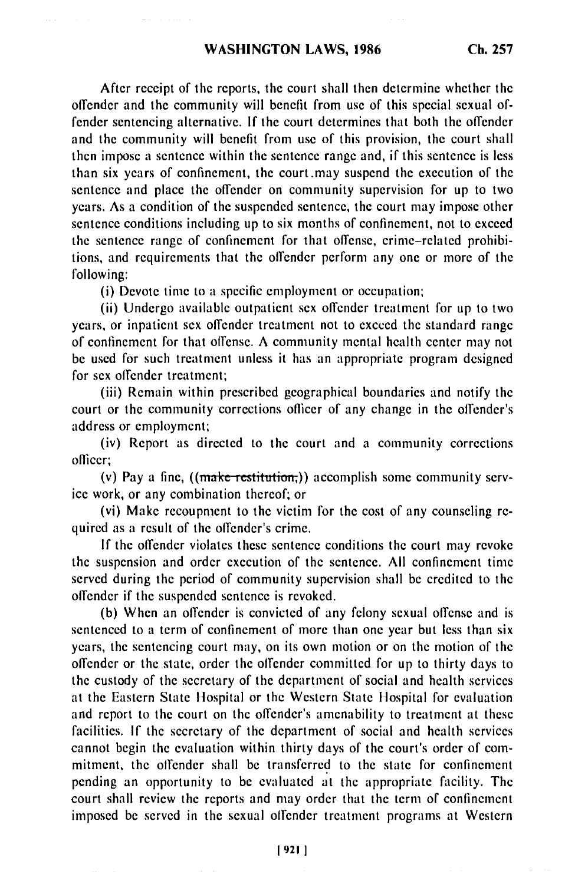**After** receipt of the reports, the court shall then determine whether the offender and the community will benefit from use of this special sexual offender sentencing alternative. **If** the court determines that both the offender and the community will benefit from use of this provision, the court shall then impose a sentence within the sentence range and, if this sentence is less than six years of confinement, the court .may suspend the execution of the sentence and place the offender on community supervision for up to two years. As a condition of the suspended sentence, the court may impose other sentence conditions including up to six months of confinement, not to exceed the sentence range of confinement for that offense, crime-related prohibitions, and requirements that the offender perform any one or more of the following:

(i) Devote time to a specific employment or occupation;

(ii) Undergo available outpatient sex offender treatment for up to two years, or inpatient sex offender treatment not to exceed the standard range of confinement for that offense. A community mental health center may not be used for such treatment unless it has an appropriate program designed for sex offender treatment;

(iii) Remain within prescribed geographical boundaries and notify the court or the community corrections officer of any change in the offender's address or employment;

(iv) Report as directed to the court and a community corrections officer;

(v) Pay a fine, ((make restitution,)) accomplish some community service work, or any combination thereof; or

(vi) Make recoupment to the victim for the cost of any counseling required as a result of the offender's crime.

If the offender violates these sentence conditions the court may revoke the suspension and order execution of the sentence. All confinement time served during the period of community supervision shall be credited to the offender if the suspended sentence is revoked.

(b) When an offender is convicted of any felony sexual offense and is sentenced to a term of confinement of more than one year but less than six years, the sentencing court may, on its own motion or on the motion of the offender or the state, order the offender committed for up to thirty days to the custody of the secretary of the department of social and health services at the Eastern State Hospital or the Western State Hospital for evaluation and report to the court on the offender's amenability to treatment at these facilities. **If** the secretary of the department of social and health services cannot begin the evaluation within thirty days of the court's order of commitment, the offender shall be transferred to the state for confinement pending an opportunity to be evaluated at the appropriate facility. The court shall review the reports and may order that the term of confinement imposed be served in the sexual offender treatment programs at Western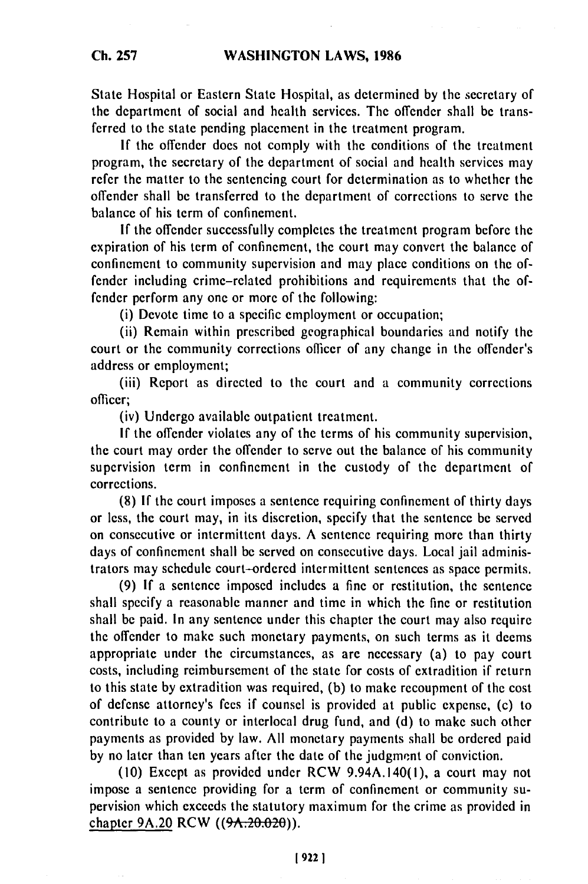**Ch. 257**

State Hospital or Eastern State Hospital, as determined by the secretary of the department of social and health services. The offender shall be transferred to the state pending placement in the treatment program.

If the offender does not comply with the conditions of the treatment program, the secretary of the department of social and health services may refer the matter to the sentencing court for determination as to whether the offender shall be transferred to the department of corrections to serve the balance of his term of confinement.

If the offender successfully completes the treatment program before the expiration of his term of confinement, the court may convert the balance of confinement to community supervision and may place conditions on the offender including crime-related prohibitions and requirements that the offender perform any one or more of the following:

(i) Devote time to a specific employment or occupation;

(ii) Remain within prescribed geographical boundaries and notify the court or the community corrections officer of any change in the offender's address or employment;

(iii) Report as directed to the court and a community corrections officer;

(iv) Undergo available outpatient treatment.

If the offender violates any of the terms of his community supervision, the court may order the offender to serve out the balance of his community supervision term in confinement in the custody of the department of corrections.

(8) If the court imposes a sentence requiring confinement of thirty days or less, the court may, in its discretion, specify that the sentence be served on consecutive or intermittent days. A sentence requiring more than thirty days of confinement shall be served on consecutive days. Local jail administrators may schedule court-ordered intermittent sentences as space permits.

(9) If a sentence imposed includes a fine or restitution, the sentence shall specify a reasonable manner and time in which the fine or restitution shall be paid. In any sentence under this chapter the court may also require the offender to make such monetary payments, on such terms as it deems appropriate under the circumstances, as are necessary (a) to pay court costs, including reimbursement of the state for costs of extradition if return to this state by extradition was required, (b) to make recoupment of the cost of defense attorney's fees if counsel is provided at public expense, (c) to contribute to a county or interlocal drug fund, and (d) to make such other payments as provided by law. All monetary payments shall be ordered paid by no later than ten years after the date of the judgment of conviction.

(10) Except as provided under RCW 9.94A.140(i), a court may not impose a sentence providing for a term of confinement or community supervision which exceeds the statutory maximum for the crime as provided in chapter 9A.20 RCW **((9A.20.020)).**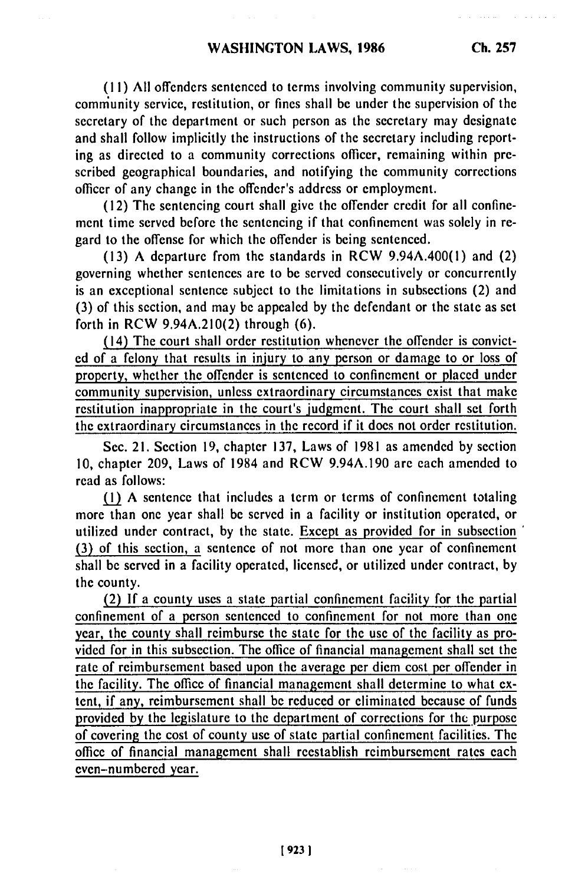**(11) All** offenders sentenced to terms involving community supervision, comnunity service, restitution, or fines shall be under the supervision of the secretary of the department or such person as the secretary may designate and shall follow implicitly the instructions of the secretary including reporting as directed to a community corrections officer, remaining within prescribed geographical boundaries, and notifying the community corrections officer of any change in the offender's address or employment.

(12) The sentencing court shall give the offender credit for all confinement time served before the sentencing if that confinement was solely in regard to the offense for which the offender is being sentenced.

(13) A departure from the standards in RCW 9.94A.400(l) and (2) governing whether sentences are to be served consecutively or concurrently is an exceptional sentence subject to the limitations in subsections (2) and (3) of this section, and may be appealed by the defendant or the state as set forth in RCW 9.94A.210(2) through (6).

(14) The court shall order restitution whenever the offender is convicted of a felony that results in injury to any person or damage to or loss of property, whether the offender is sentenced to confinement or placed under community supervision, unless extraordinary circumstances exist that make restitution inappropriate in the court's judgment. The court shall set forth the extraordinary circumstances in the record if it does not order restitution.

Sec. 21. Section 19, chapter 137, Laws of 1981 as amended by section 10, chapter 209, Laws of 1984 and RCW 9.94A.190 are each amended to read as follows:

 $(1)$  A sentence that includes a term or terms of confinement totaling more than one year shall be served in a facility or institution operated, or utilized under contract, by the state. Except as provided for in subsection (3) of this section, a sentence of not more than one year of confinement shall be served in a facility operated, licensed, or utilized under contract, by the county.

(2) If a county uses a state partial confinement facility for the partial confinement of a person sentenced to confinement for not more than one year, the county shall reimburse the state for the use of the facility as provided for in this subsection. The office of financial management shall set the rate of reimbursement based upon the average per diem cost per offender in the facility. The office of financial management shall determine to what extent, if any, reimbursement shall be reduced or eliminated because of funds provided **by** the legislature to the department of corrections for the purpose of covering the cost of county use of state partial confinement facilities. The office of financial management shall reestablish reimbursement rates each even-numbered year.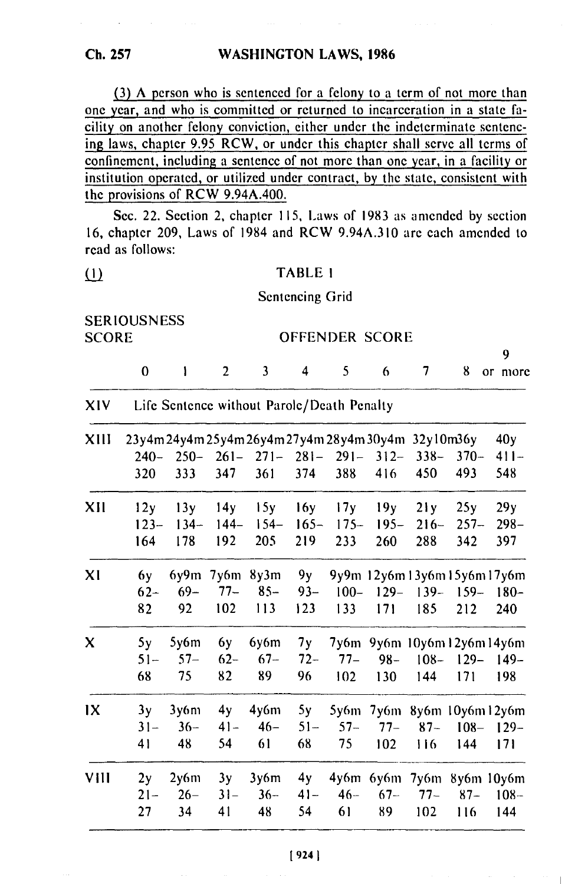**(3) A** person who is sentenced for a felony to a term of not more than one year, and who is committed or returned to incarceration in a state facility on another felony conviction, either under the indeterminate sentencing laws, chapter **9.95 RCW,** or under this chapter shall serve all terms of confinement, including a sentence of not more than one year, in a facility or institution operated, or utilized under contract, **by** the state, consistent with the provisions of RCW 9.94A.400.

Sec. 22. Section 2, chapter **115,** Laws of **1983** as amended **by** section **16,** chapter **209,** Laws of 1984 and RCW 9.94A.310 are each amended to read as follows:

**(I)** TABLE **I**

Sentencing Grid

**SERIOUSNESS** 

#### **SCORE OFFENDER SCORE**

|      | 0      | $\mathbf{I}$ | $\overline{2}$       | $\mathbf{3}$                                 | $\overline{4}$ | - 5    | 6       | $\overline{7}$ | 8                               | 9<br>or more |
|------|--------|--------------|----------------------|----------------------------------------------|----------------|--------|---------|----------------|---------------------------------|--------------|
| XIV  |        |              |                      | Life Sentence without Parole/Death Penalty   |                |        |         |                |                                 |              |
| xiii |        |              |                      | 23y4m24y4m25y4m26y4m27y4m28y4m30y4m32y10m36y |                |        |         |                |                                 | 40y          |
|      | $240-$ |              |                      | $250 - 261 - 271 - 281 - 291 - 312 -$        |                |        |         | $338-$         | $370-$                          | $411-$       |
|      | 320    | 333          | 347                  | 361                                          | 374            | 388    | 416     | 450            | 493                             | 548          |
| XII  | 12y    | 13y          | 14y                  | 15y                                          | 16y            | 17y    | 19y     | 21y            | 25v                             | 29y          |
|      | $123-$ | $134-$       | $144-$               | $154-$                                       | $165 -$        | $175-$ | $195 -$ | $216-$         | $257-$                          | $298 -$      |
|      | 164    | 178          | 192                  | 205                                          | 219            | 233    | 260     | 288            | 342                             | 397          |
| XI   | 6y     |              | $6y9m$ $7y6m$ $8y3m$ |                                              | 9у.            |        |         |                | $9y9m$ 12y6m 13y6m 15y6m 17y6m  |              |
|      | $62-$  | $69-$        | - 77 –               | $85 -$                                       | $93 -$         |        |         |                | $100 - 129 - 139 - 159 - 180 -$ |              |

|      | 82     | 92                            | 102    | 113                           | 123    | 133              | 171    | 185     | 212     | 240                         |
|------|--------|-------------------------------|--------|-------------------------------|--------|------------------|--------|---------|---------|-----------------------------|
| X    | 5v     | 5v6m                          | 6y     | 6y6m                          | 7y     |                  |        |         |         | 7y6m 9y6m 10y6m 12y6m 14y6m |
|      | $51 -$ | $57 -$                        | $62-$  | $67-$                         | $72-$  | $77-$            | $98 -$ | $108 -$ | $129-$  | $149-$                      |
|      | 68     | 75                            | 82     | 89                            | 96     | 102 <sub>1</sub> | 130    | 144     | 171     | 198                         |
| IX   | 3γ     | 3 <sub>V</sub> 6 <sub>m</sub> | 4۷     | 4v6m                          | 5y     |                  |        |         |         | 5y6m 7y6m 8y6m 10y6m12y6m   |
|      | $31-$  | $36-$                         | $41 -$ | $46-$                         | $51 -$ | $57-$            | $77-$  | $87 -$  | $108 -$ | $129-$                      |
|      | 41     | 48                            | 54     | 61                            | 68     | 75               | 102    | 116     | 144     | 171                         |
| VIII | 2y     | 2y6m                          | 3y     | 3 <sub>Y</sub> 6 <sub>m</sub> | 4у     |                  |        |         |         | 4y6m 6y6m 7y6m 8y6m 10y6m   |
|      | $21 -$ | $26-$                         | $31 -$ | $36-$                         | $41 -$ | $46-$            | $67-$  | $77-$   | $87 -$  | $108 -$                     |
|      | 27     | 34                            | 41     | 48                            | 54     | 61               | 89     | 102     | 116     | 144                         |

**Ch. 257**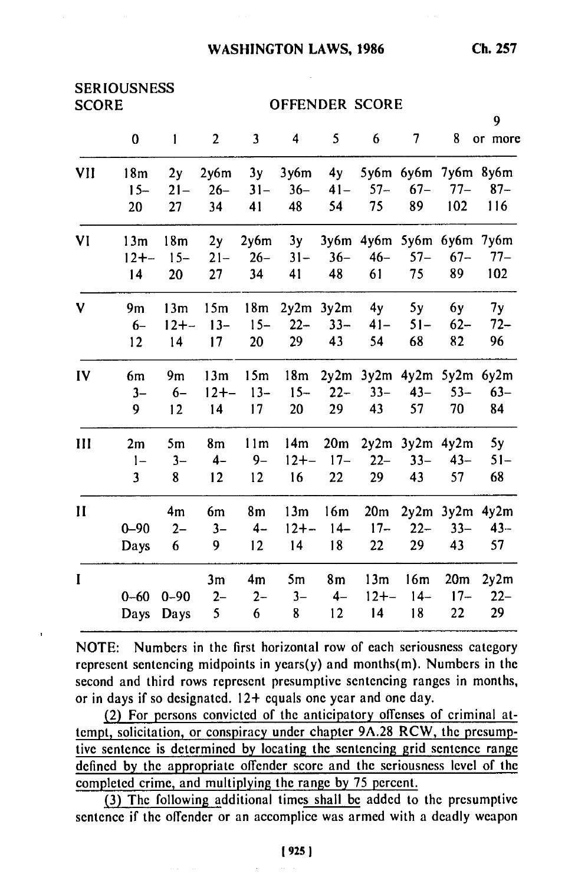**Ch. 257**

 $\alpha$ 

| <b>SERIOUSNESS</b> |
|--------------------|
| <b>SCORE</b>       |

#### OFFENDER SCORE

|              | 0               | 1              | $\overline{c}$ | 3              | 4             | 5               | 6               | 7                        | 8             | 7<br>or more |
|--------------|-----------------|----------------|----------------|----------------|---------------|-----------------|-----------------|--------------------------|---------------|--------------|
| VII          | 18 <sub>m</sub> | 2y             | 2y6m           | 3y             | 3y6m          | 4y              |                 | 5y6m 6y6m 7y6m 8y6m      |               |              |
|              | $15 -$          | $21 -$         | $26 -$         | $31 -$         | $36 -$        | $41 -$          | $57-$           | $67-$                    | $77-$         | $87 -$       |
|              | 20              | 27             | 34             | 41             | 48            | 54              | 75              | 89                       | 102           | 116          |
| VI           | 13m             | 18m            | 2y             | 2y6m           | 3y            |                 |                 | 3y6m 4y6m 5y6m 6y6m      |               | 7y6m         |
|              | $12 + -$        | $15 -$         | $21 -$         | $26 -$         | $31 -$        | $36-$           | $46 -$          | $57 -$                   | $67-$         | $77-$        |
|              | 14              | 20             | 27             | 34             | 41            | 48              | 61              | 75                       | 89            | 102          |
| ٧            | 9m              | 13m            | 15m            | 18m            | $2y2m$ $3y2m$ |                 | $4y -$          | 5y                       | 6y            | 7y           |
|              | $6-$            | $12 + -$       | $13-$          | $15 -$         | $22 -$        | $33 -$          | $41 -$          | $51-$                    | $62 -$        | $72 -$       |
|              | 12              | 14             | 17             | 20             | 29            | 43              | 54              | 68                       | 82            | 96           |
| IV           | 6m              | 9m             | 13m            | 15m            | 18m           |                 |                 | 2y2m 3y2m 4y2m 5y2m 6y2m |               |              |
|              | $3-$            | $6-$           | $12 + -$       | $13-$          | $15 -$        | $22 -$          | $33 -$          | $43 -$                   | $53 -$        | $63 -$       |
|              | 9               | 12             | 14             | 17             | 20            | 29              | 43              | 57                       | 70            | 84           |
| Ш            | 2m              | 5m             | 8m             | 11m            | 14m           | 20 <sub>m</sub> |                 | $2y2m$ $3y2m$ $4y2m$     |               | 5y           |
|              | $1-$            | $3-$           | $4-$           | $9-$           | $12 + -$      | $17 -$          | $22 -$          | $33 -$                   | $43-$         | $51 -$       |
|              | 3               | 8              | 12             | 12             | 16            | 22              | 29              | 43                       | 57            | 68           |
| $\mathbf{I}$ |                 | 4 <sub>m</sub> | 6m             | 8 <sub>m</sub> | 13m           | 16m             | 20 <sub>m</sub> |                          | $2y2m$ $3y2m$ | 4y2m         |
|              | $0 - 90$        | $2 -$          | $3-$           | $4-$           | $12 + -$      | $14-$           | $17-$           | $22 -$                   | $33 -$        | $43 -$       |
|              | Days            | 6              | 9              | $12 \,$        | 14            | 18              | 22              | 29                       | 43            | 57           |
| I            |                 |                | 3m             | 4m             | 5m            | 8 <sub>m</sub>  | 13m             | 16m                      | 20m           | 2y2m         |
|              | $0 - 60$        | $0 - 90$       | $2 -$          | $2 -$          | $3-$          | $4-$            | $12 + -$        | $14-$                    | $17-$         | $22 -$       |
|              | Days            | Days           | 5              | 6              | 8             | 12              | 14              | 18                       | 22            | 29           |

NOTE: Numbers in the first horizontal row of each seriousness category represent sentencing midpoints in years(y) and months(m). Numbers in the second and third rows represent presumptive sentencing ranges in months, or in days if so designated. 12+ equals one year and one day.

(2) For persons convicted of the anticipatory offenses of criminal attempt, solicitation, or conspiracy under chapter 9A.28 RCW, the presumptive sentence is determined by locating the sentencing grid sentence range defined by the appropriate offender score and the seriousness level of the completed crime, and multiplying the range by 75 percent.

(3) The following additional times shall be added to the presumptive sentence if the offender or an accomplice was armed with a deadly weapon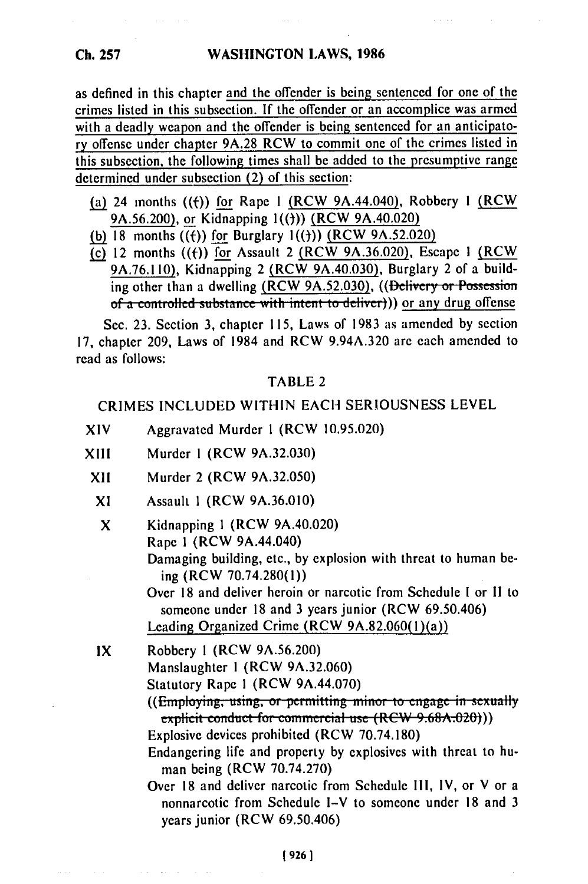as defined in this chapter and the offender is being sentenced for one of the crimes listed in this subsection. **If** the offender or an accomplice was armed with a deadly weapon and the offender is being sentenced for an anticipatory offense under chapter 9A.28 RCW to commit one of the crimes listed in this subsection, the following times shall be added to the presumptive range determined under subsection (2) of this section:

- (a) 24 months **((f))** for Rape I (RCW 9A.44.040), Robbery **I** (RCW 9A.56.200), or Kidnapping **1(()))** (RCW 9A.40.020)
- **(b)** 18 months (({)) for Burglary **I(())** (RCW 9A.52.020)
- $\overline{(c)}$  12 months  $((f))$  for Assault 2 (RCW 9A.36.020), Escape 1 (RCW 9A.76.1 10), Kidnapping 2 (RCW 9A.40.030), Burglary 2 of a building other than a dwelling (RCW 9A.52.030), ((Delivery or Possession of a controlled substance with intent to deliver))) or any drug offense

Sec. **23.** Section **3,** chapter **115,** Laws of **1983** as amended **by** section **17,** chapter **209,** Laws of 1984 and RCW 9.94A.320 are each amended to read as follows:

## TABLE 2

## CRIMES **INCLUDED** WITHIN **EACH SERIOUSNESS** LEVEL

- **XIV** Aggravated Murder **I** (RCW **10.95.020)**
- **XIll** Murder **I** (RCW **9A.32.030)**
- **XII** Murder 2 (RCW **9A.32.050)**
- **XI** Assault **1** (RCW **9A.36.010)**
- **X** Kidnapping **I** (RCW 9A.40.020) Rape **I** (RCW 9A.44.040)
	- Damaging building, etc., **by** explosion with threat to human **be**ing (RCW **70.74.280(1))**
	- Over **18** and deliver heroin or narcotic from Schedule **I** or **I** to someone under **18** and **3** years junior (RCW **69.50.406)** Leading Organized Crime (RCW 9A.82.060(I)(a))

**IX** Robbery **I** (RCW **9A.56.200)** Manslaughter **I** (RCW **9A.32.060)** Statutory Rape **I** (RCW 9A.44.070) ((Employing, using, or permitting minor to engage in sexually explicit conduct for commercial use (RCW 9.68A.020)))

Explosive devices prohibited (RCW **70.74.180)**

Endangering life and property **by** explosives with threat to human being (RCW **70.74.270)**

Over 18 and deliver narcotic from Schedule **III,** IV, or V or a nonnarcotic from Schedule I-V to someone under 18 and 3 years junior (RCW 69.50.406)

**[9261**

**Ch. 257**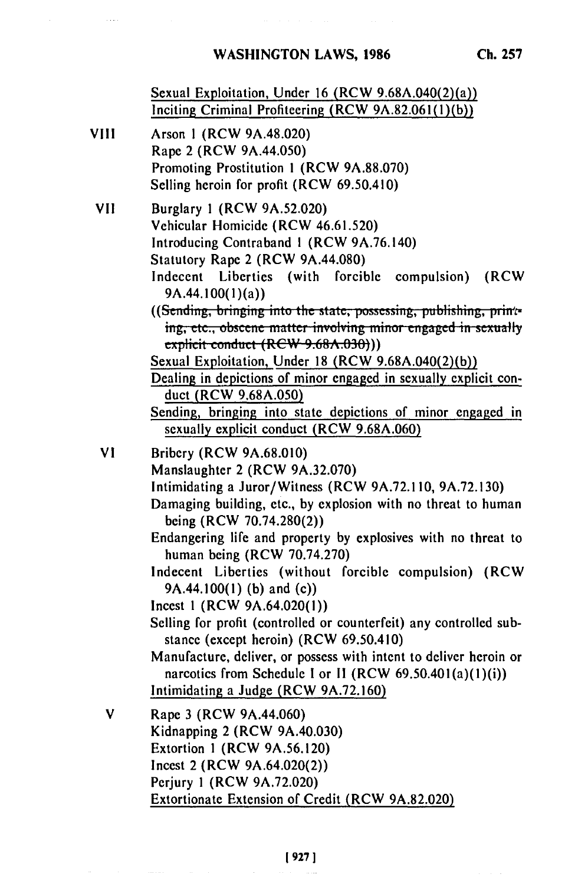|      | Sexual Exploitation, Under 16 (RCW 9.68A.040(2)(a))<br>Inciting Criminal Profiteering (RCW 9A.82.061(1)(b))                                                                                                                                                                                                                                                                                                                                                                                                                                                                                                                                                                                                                       |
|------|-----------------------------------------------------------------------------------------------------------------------------------------------------------------------------------------------------------------------------------------------------------------------------------------------------------------------------------------------------------------------------------------------------------------------------------------------------------------------------------------------------------------------------------------------------------------------------------------------------------------------------------------------------------------------------------------------------------------------------------|
| VIII | Arson 1 (RCW 9A.48.020)<br>Rape 2 (RCW 9A.44.050)<br>Promoting Prostitution 1 (RCW 9A.88.070)<br>Selling heroin for profit (RCW 69.50.410)                                                                                                                                                                                                                                                                                                                                                                                                                                                                                                                                                                                        |
| VII  | Burglary 1 (RCW 9A.52.020)<br>Vehicular Homicide (RCW 46.61.520)<br>Introducing Contraband 1 (RCW 9A.76.140)<br>Statutory Rape 2 (RCW 9A.44.080)<br>Indecent Liberties (with forcible compulsion) (RCW<br>9A.44.100(1)(a)<br>((Sending, bringing into the state, possessing, publishing, print-<br>ing, etc., obscene matter involving minor engaged in sexually<br>explicit conduct (RCW 9.68A.030)))<br>Sexual Exploitation, Under 18 (RCW 9.68A.040(2)(b))<br>Dealing in depictions of minor engaged in sexually explicit con-<br>duct (RCW 9.68A.050)<br>Sending, bringing into state depictions of minor engaged in<br>sexually explicit conduct (RCW 9.68A.060)                                                             |
| ٧I   | Bribery (RCW 9A.68.010)<br>Manslaughter 2 (RCW 9A.32.070)<br>Intimidating a Juror/Witness (RCW 9A.72.110, 9A.72.130)<br>Damaging building, etc., by explosion with no threat to human<br>being (RCW 70.74.280(2))<br>Endangering life and property by explosives with no threat to<br>human being (RCW 70.74.270)<br>Indecent Liberties (without forcible compulsion) (RCW<br>$9A.44.100(1)$ (b) and (c))<br>Incest 1 (RCW 9A.64.020(1))<br>Selling for profit (controlled or counterfeit) any controlled sub-<br>stance (except heroin) (RCW 69.50.410)<br>Manufacture, deliver, or possess with intent to deliver heroin or<br>narcotics from Schedule I or II (RCW 69.50.401(a)(1)(i))<br>Intimidating a Judge (RCW 9A.72.160) |
| v    | Rape 3 (RCW 9A.44.060)<br>Kidnapping 2 (RCW 9A.40.030)<br>Extortion 1 (RCW 9A.56.120)<br>Incest 2 (RCW 9A.64.020(2))<br>Perjury 1 (RCW 9A.72.020)<br>Extortionate Extension of Credit (RCW 9A.82.020)                                                                                                                                                                                                                                                                                                                                                                                                                                                                                                                             |

#### **1 927 1**  $\sim$   $\sim$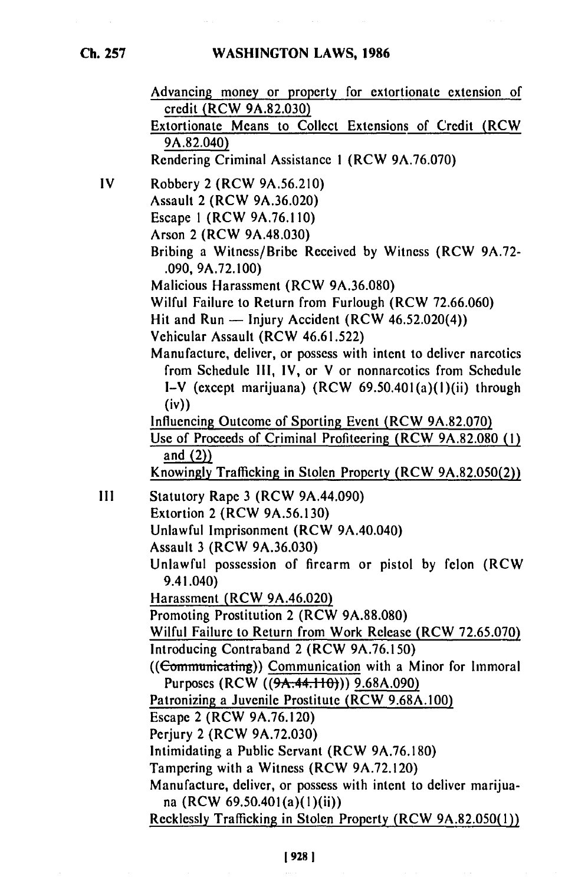|    | Advancing money or property for extortionate extension of                   |
|----|-----------------------------------------------------------------------------|
|    | credit (RCW 9A.82.030)                                                      |
|    | Extortionate Means to Collect Extensions of Credit (RCW                     |
|    | 9A.82.040)<br>Rendering Criminal Assistance 1 (RCW 9A.76.070)               |
|    |                                                                             |
| IV | Robbery 2 (RCW 9A.56.210)                                                   |
|    | <b>Assault 2 (RCW 9A.36.020)</b>                                            |
|    | Escape 1 (RCW 9A.76.110)                                                    |
|    | Arson 2 (RCW 9A.48.030)                                                     |
|    | Bribing a Witness/Bribe Received by Witness (RCW 9A.72-<br>.090, 9A.72.100) |
|    | Malicious Harassment (RCW 9A.36.080)                                        |
|    | Wilful Failure to Return from Furlough (RCW 72.66.060)                      |
|    | Hit and Run - Injury Accident (RCW 46.52.020(4))                            |
|    | Vehicular Assault (RCW 46.61.522)                                           |
|    | Manufacture, deliver, or possess with intent to deliver narcotics           |
|    | from Schedule III, IV, or V or nonnarcotics from Schedule                   |
|    | I-V (except marijuana) (RCW 69.50.401(a)(1)(ii) through<br>(iv)             |
|    | Influencing Outcome of Sporting Event (RCW 9A.82.070)                       |
|    | Use of Proceeds of Criminal Profiteering (RCW 9A.82.080 (1)                 |
|    | and $(2)$ )                                                                 |
|    | Knowingly Trafficking in Stolen Property (RCW 9A.82.050(2))                 |
| ш  | Statutory Rape 3 (RCW 9A.44.090)                                            |
|    | Extortion 2 (RCW 9A.56.130)                                                 |
|    | Unlawful Imprisonment (RCW 9A.40.040)                                       |
|    | Assault 3 (RCW 9A.36.030)                                                   |
|    | Unlawful possession of firearm or pistol by felon (RCW<br>9.41.040)         |
|    | Harassment (RCW 9A.46.020)                                                  |
|    | Promoting Prostitution 2 (RCW 9A.88.080)                                    |
|    | Wilful Failure to Return from Work Release (RCW 72.65.070)                  |
|    | Introducing Contraband 2 (RCW 9A.76.150)                                    |
|    | ((Communicating)) Communication with a Minor for Immoral                    |
|    | Purposes (RCW ((9A:44.110))) 9.68A.090)                                     |
|    | Patronizing a Juvenile Prostitute (RCW 9.68A.100)                           |
|    | Escape 2 (RCW 9A.76.120)                                                    |
|    | Perjury 2 (RCW 9A.72.030)                                                   |
|    | Intimidating a Public Servant (RCW 9A.76.180)                               |
|    | Tampering with a Witness (RCW 9A.72.120)                                    |
|    | Manufacture, deliver, or possess with intent to deliver marijua-            |
|    | na (RCW 69.50.401(a)(1)(ii))                                                |
|    | Recklessly Trafficking in Stolen Property (RCW 9A.82.050(1))                |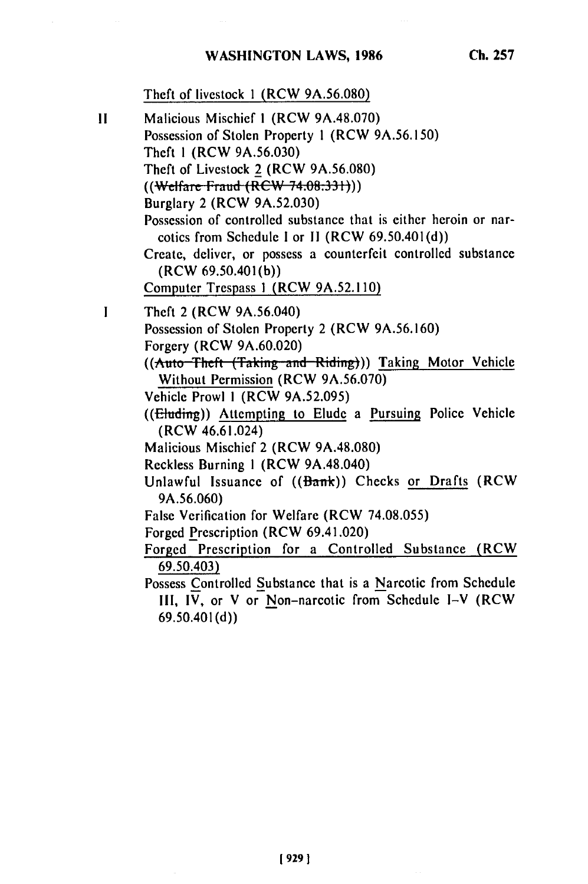|              | Theft of livestock 1 (RCW 9A.56.080)                                                                                                                                                                                                                                                                                                                                                                                                                                                                                                                                                                                                                                                                                                                                |
|--------------|---------------------------------------------------------------------------------------------------------------------------------------------------------------------------------------------------------------------------------------------------------------------------------------------------------------------------------------------------------------------------------------------------------------------------------------------------------------------------------------------------------------------------------------------------------------------------------------------------------------------------------------------------------------------------------------------------------------------------------------------------------------------|
| $\mathbf{I}$ | Malicious Mischief 1 (RCW 9A.48.070)<br>Possession of Stolen Property 1 (RCW 9A.56.150)<br>Theft 1 (RCW 9A.56.030)<br>Theft of Livestock 2 (RCW 9A.56.080)<br>$((\text{Welfare } \text{Fraud } (\text{RCW } 74.08.331)))$<br>Burglary 2 (RCW 9A.52.030)<br>Possession of controlled substance that is either heroin or nar-<br>cotics from Schedule I or II (RCW 69.50.401(d))<br>Create, deliver, or possess a counterfeit controlled substance<br>(RCW 69.50.401(b))<br>Computer Trespass 1 (RCW 9A.52.110)                                                                                                                                                                                                                                                       |
| $\mathbf{I}$ | Theft 2 (RCW 9A.56.040)<br>Possession of Stolen Property 2 (RCW 9A.56.160)<br>Forgery (RCW 9A.60.020)<br>((Auto Theft (Taking and Riding))) Taking Motor Vehicle<br>Without Permission (RCW 9A.56.070)<br>Vehicle Prowl 1 (RCW 9A.52.095)<br>((Eluding)) Attempting to Elude a Pursuing Police Vehicle<br>(RCW 46.61.024)<br>Malicious Mischief 2 (RCW 9A.48.080)<br>Reckless Burning 1 (RCW 9A.48.040)<br>Unlawful Issuance of ((Bank)) Checks or Drafts (RCW<br>9A.56.060)<br>False Verification for Welfare (RCW 74.08.055)<br>Forged Prescription (RCW 69.41.020)<br>Forged Prescription for a Controlled Substance (RCW<br>69.50.403)<br>Possess Controlled Substance that is a Narcotic from Schedule<br>III, IV, or V or Non-narcotic from Schedule I-V (RCW |

69.50.401 (d))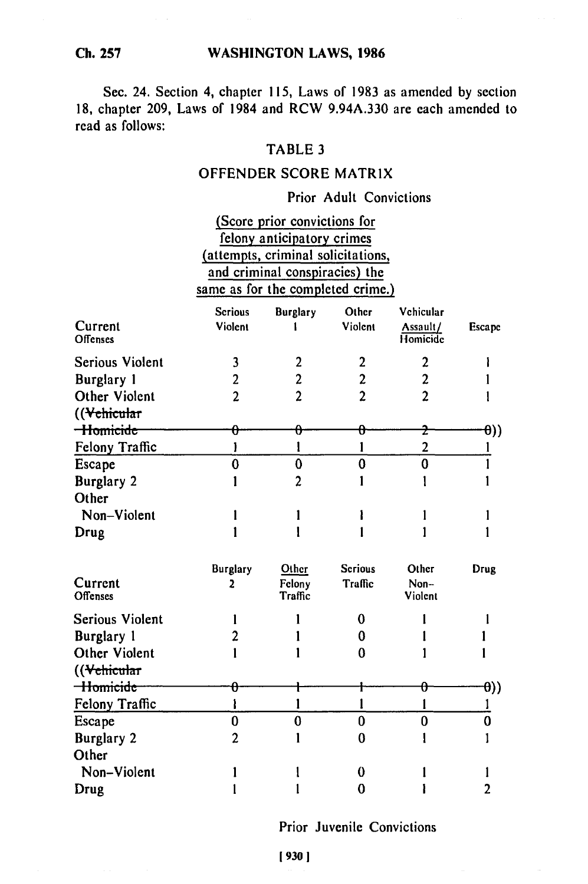## **Ch. 257 WASHINGTON** LAWS, **1986**

Sec. 24. Section 4, chapter **115,** Laws of **1983** as amended **by** section **18,** chapter **209,** Laws of 1984 and RCW **9.94A.330** are each amended to read as follows:

## TABLE **3**

## OFFENDER SCORE MATRIX

## Prior Adult Convictions

# (Score prior convictions for felony anticipatory crimes (attempts, criminal solicitations, and criminal conspiracies) the same as for the completed crime.)

| Current<br>Offenses | <b>Scrious</b><br>Violent | <b>Burglary</b> | Other<br>Violent | Vehicular<br>Assault/<br>Homicide | Escape |
|---------------------|---------------------------|-----------------|------------------|-----------------------------------|--------|
| Serious Violent     |                           |                 |                  |                                   |        |
| <b>Burglary 1</b>   |                           |                 |                  |                                   |        |
| Other Violent       | 2                         |                 |                  |                                   |        |
| (( <b>Vehicle</b> ) |                           |                 |                  |                                   |        |
| <del>Homicide</del> |                           |                 |                  |                                   | θ))    |
| Felony Traffic      |                           |                 |                  |                                   |        |
| Escape              |                           |                 |                  |                                   |        |
| <b>Burglary 2</b>   |                           |                 |                  |                                   |        |
| Other               |                           |                 |                  |                                   |        |
| Non-Violent         |                           |                 |                  |                                   |        |
| Drug                |                           |                 |                  |                                   |        |

|                        | <b>Burglary</b> | Other             | <b>Serious</b> | Other           | <b>Drug</b> |
|------------------------|-----------------|-------------------|----------------|-----------------|-------------|
| Current<br>Offenses    |                 | Felony<br>Traffic | Traffic        | Non-<br>Violent |             |
| <b>Serious Violent</b> |                 |                   |                |                 |             |
| <b>Burglary 1</b>      |                 |                   |                |                 |             |
| Other Violent          |                 |                   |                |                 |             |
| ((Vehicular            |                 |                   |                |                 |             |
| <del>Homicide</del>    |                 |                   |                |                 | O))         |
| Felony Traffic         |                 |                   |                |                 |             |
| Escape                 |                 |                   |                |                 |             |
| <b>Burglary 2</b>      | 2               |                   |                |                 |             |
| Other                  |                 |                   |                |                 |             |
| Non-Violent            |                 |                   |                |                 |             |
| Drug                   |                 |                   |                |                 |             |

## Prior Juvenile Convictions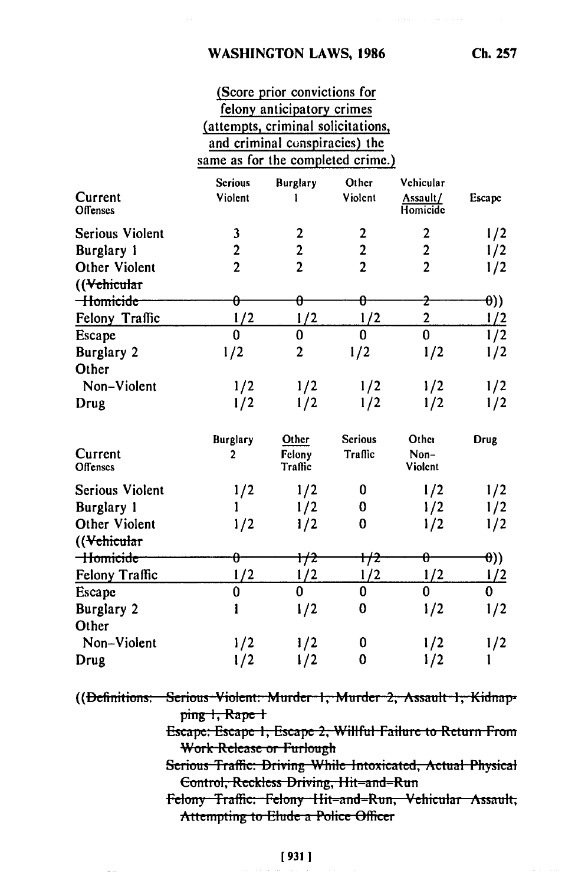|                                   | (Score prior convictions for |                                    |                         |                         |                  |  |  |  |  |
|-----------------------------------|------------------------------|------------------------------------|-------------------------|-------------------------|------------------|--|--|--|--|
|                                   | felony anticipatory crimes   |                                    |                         |                         |                  |  |  |  |  |
|                                   |                              | (attempts, criminal solicitations, |                         |                         |                  |  |  |  |  |
|                                   |                              | and criminal conspiracies) the     |                         |                         |                  |  |  |  |  |
| same as for the completed crime.) |                              |                                    |                         |                         |                  |  |  |  |  |
|                                   | <b>Serious</b>               | <b>Burglary</b>                    | Other                   | Vehicular               |                  |  |  |  |  |
| Current<br><b>Offenses</b>        | Violent                      | ı                                  | Violent                 | Assault/<br>Homicide    | Escape           |  |  |  |  |
| <b>Serious Violent</b>            | 3                            | 2                                  | 2                       | $\overline{c}$          | 1/2              |  |  |  |  |
| Burglary 1                        | $\overline{\mathbf{c}}$      | $\overline{\mathbf{c}}$            | $\overline{\mathbf{c}}$ | $\overline{\mathbf{c}}$ | 1/2              |  |  |  |  |
| <b>Other Violent</b>              | $\overline{2}$               | $\overline{2}$                     | $\overline{2}$          | $\overline{2}$          | 1/2              |  |  |  |  |
| ((Vehicular                       |                              |                                    |                         |                         |                  |  |  |  |  |
| <b>Homicide</b>                   | θ                            | θ                                  | θ                       | z                       | $\Theta$ )       |  |  |  |  |
| Felony Traffic                    | 1/2                          | 1/2                                | 1/2                     | $\overline{\mathbf{c}}$ | 1/2              |  |  |  |  |
| Escape                            | 0                            | 0                                  | $\mathbf{0}$            | $\bf{0}$                | $\overline{1/2}$ |  |  |  |  |
| <b>Burglary 2</b>                 | 1/2                          | $\overline{c}$                     | 1/2                     | 1/2                     | 1/2              |  |  |  |  |
| Other                             |                              |                                    |                         |                         |                  |  |  |  |  |
| Non-Violent                       | 1/2                          | 1/2                                | 1/2                     | 1/2                     | 1/2              |  |  |  |  |
| Drug                              | 1/2                          | 1/2                                | 1/2                     | 1/2                     | 1/2              |  |  |  |  |
|                                   | <b>Burglary</b>              | Other                              | <b>Scrious</b>          | Other                   | Drug             |  |  |  |  |
| Current<br><b>Offenses</b>        | 2                            | Felony<br>Traffic                  | Traffic                 | $Non-$<br>Violent       |                  |  |  |  |  |
| <b>Serious Violent</b>            | 1/2                          | 1/2                                | 0                       | 1/2                     | 1/2              |  |  |  |  |
| <b>Burglary 1</b>                 | 1                            | 1/2                                | 0                       | 1/2                     | 1/2              |  |  |  |  |
| Other Violent                     | 1/2                          | 1/2                                | 0                       | 1/2                     | 1/2              |  |  |  |  |
| ((Vehicular                       |                              |                                    |                         |                         |                  |  |  |  |  |
| <b>Homicide</b>                   | θ                            | <del>1/2</del>                     | <del>1/2</del>          | θ                       | $\Theta$ )       |  |  |  |  |
| <b>Felony Traffic</b>             | 1/2                          | 1/2                                | 1/2                     | 1/2                     | 1/2              |  |  |  |  |
| <b>Escape</b>                     | 0                            | 0                                  | 0                       | 0                       | 0                |  |  |  |  |
| <b>Burglary 2</b>                 | 1                            | 1/2                                | 0                       | 1/2                     | 1/2              |  |  |  |  |
| Other                             |                              |                                    |                         |                         |                  |  |  |  |  |
| Non-Violent                       | 1/2                          | 1/2                                | 0                       | 1/2                     | 1/2              |  |  |  |  |
| Drug                              | 1/2                          | 1/2                                | 0                       | 1/2                     | l                |  |  |  |  |

((Definitions: **........... olent.** hfider **1, M uiider . ........ I,'K...... L#I'IIIII~I .** d **in U 1** ape-+U **I,, I. i.II~**

Escape: Escape 1, Escape 2, Willful Failure to Return From

Work Release or Furlough<br>Serious Traffic: Driving While Intoxicated, Actual Physical **Control, Reckless Driving, Hit-and-Run**<br>Felony Traffic: Felony Hit-and-Run, Vehicular Assault,

**Attempting to Elude a Police Officer**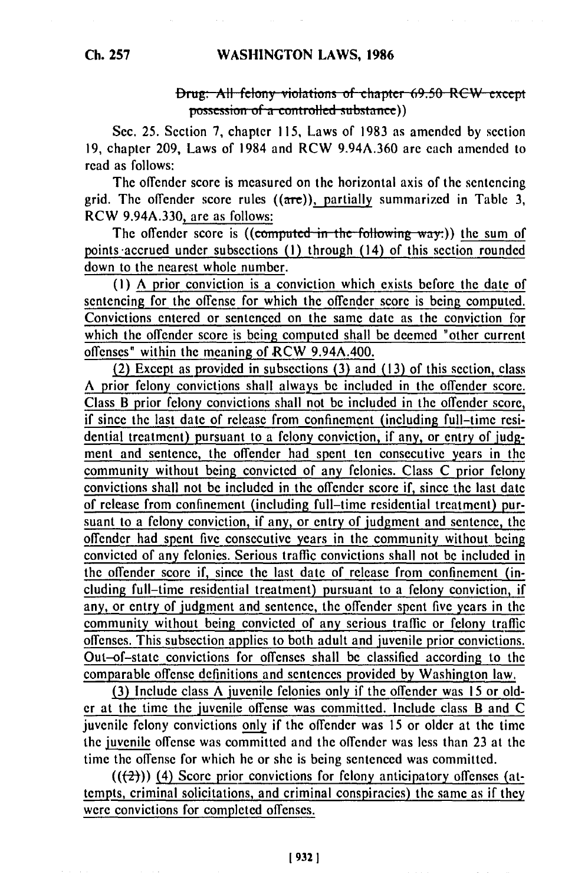## **Construct Brue External Property All friends of chapter 69.50 RCW except** possession of a controlled substance))

Sec. 25. Section 7, chapter **115,** Laws of 1983 as amended by section 19, chapter 209, Laws of 1984 and RCW 9.94A.360 are each amended to read as follows:

The offender score is measured on the horizontal axis of the sentencing grid. The offender score rules  $((are))$ , partially summarized in Table 3, RCW 9.94A.330, are as follows:

The offender score is ((computed in the following way:)) the sum of points-accrued under subsections (I) through (14) of this section rounded down to the nearest whole number.

(I) A prior conviction is a conviction which exists before the date of sentencing for the offense for which the offender score is being computed. Convictions entered or sentenced on the same date as the conviction for which the offender score is being computed shall be deemed "other current offenses" within the meaning of.RCW 9.94A.400.

(2) Except as provided in subsections (3) and (13) of this section, class A prior felony convictions shall always be included in the offender score. Class B prior felony convictions shall not be included in the offender score, if since the last date of release from confinement (including full-time residential treatment) pursuant to a felony conviction, if any, or entry of judgment and sentence, the offender had spent ten consecutive years in the community without being convicted of any felonies. Class C prior felony convictions shall not be included in the offender score if, since the last date of release from confinement (including full-time residential treatment) pursuant to a felony conviction, if any, or entry of judgment and sentence, the offender had spent five consecutive years in the community without being convicted of any felonies. Serious traffic convictions shall not be included in the offender score if, since the last date of release from confinement (including full-time residential treatment) pursuant to a felony conviction, if any, or entry of judgment and sentence, the offender spent five years in the community without being convicted of any serious traffic or felony traffic offenses. This subsection applies to both adult and juvenile prior convictions. Out-of-state convictions for offenses shall be classified according to the comparable offense definitions and sentences provided by Washington law,

(3) Include class A juvenile felonies only if the offender was 15 or older at the time the juvenile offense was committed. Include class B and C juvenile felony convictions only if the offender was 15 or older at the time the juvenile offense was committed and the offender was less than 23 at the time the offense for which he or she is being sentenced was committed.

 $((2))$  (4) Score prior convictions for felony anticipatory offenses (attempts, criminal solicitations, and criminal conspiracies) the same as if they were convictions for completed offenses.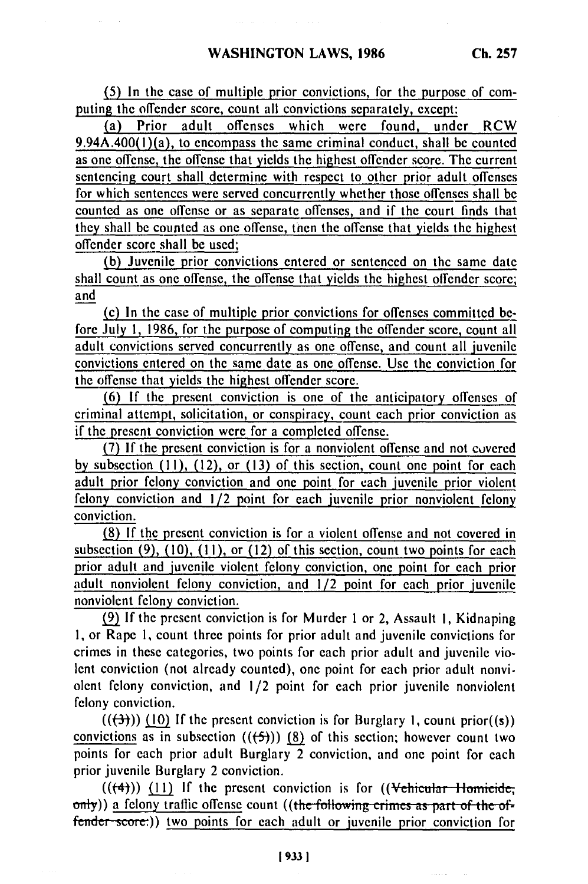**(5) In** the case of multiple prior convictions, for the purpose of computing the offender score, count all convictions separately, except:

(a) Prior adult offenses which were found, under RCW 9.94A.400(1)(a), to encompass the same criminal conduct, shall be counted as one offense, the offense that yields the highest offender score. The current sentencing court shall determine with respect to other prior adult offenses for which sentences were served concurrently whether those offenses shall be counted as one offense or as separate offenses, and if the court finds that they shall be counted as one offense, then the offense that yields the highest offender score shall be used;

(b) Juvenile prior convictions entered or sentenced on the same date shall count as one offense, the offense that yields the highest offender score; and

(c) In the case of multiple prior convictions for offenses committed before July **1,** 1986, for the purpose of computing the offender score, count all adult convictions served concurrently as one offense, and count all juvenile convictions entered on the same date as one offense. Use the conviction for the offense that yields the highest offender score.

(6) If the present conviction is one of the anticipatory offenses of criminal attempt, solicitation, or conspiracy, count each prior conviction as if the present conviction were for a completed offense.

**(7)** If the present conviction is for a nonviolent offense and not covered by subsection **(11),** (12), or **(13)** of this section, count one point for each adult prior felony conviction and one point for each juvenile prior violent felony conviction and 1/2 point for each juvenile prior nonviolent felony conviction.

**(8)** If the present conviction is for a violent offense and not covered in subsection **(9), (10), (1I),** or (12) of this section, count two points for each prior adult and juvenile violent felony conviction, one point for each prior adult nonviolent felony conviction, and 1/2 point for each prior juvenile nonviolent felony conviction.

**(9)** If the present conviction is for Murder **I** or 2, Assault I, Kidnaping 1, or Rape **1,** count three points for prior adult and juvenile convictions for crimes in these categories, two points for each prior adult and juvenile violent conviction (not already counted), one point for each prior adult nonviolent felony conviction, and 1/2 point for each prior juvenile nonviolent felony conviction.

 $((\rightarrow{(\rightarrow)})$ ) (10) If the present conviction is for Burglary 1, count prior((s)) convictions as in subsection  $((\frac{f}{f}))(8)$  of this section; however count two points for each prior adult Burglary 2 conviction, and one point for each prior juvenile Burglary 2 conviction.

 $((4))$  (11) If the present conviction is for  $((\text{Vehicle}, \text{end}^T))$ onty)) a felony traffic offense count ((the following crimes as part of the offender score:)) two points for each adult or juvenile prior conviction for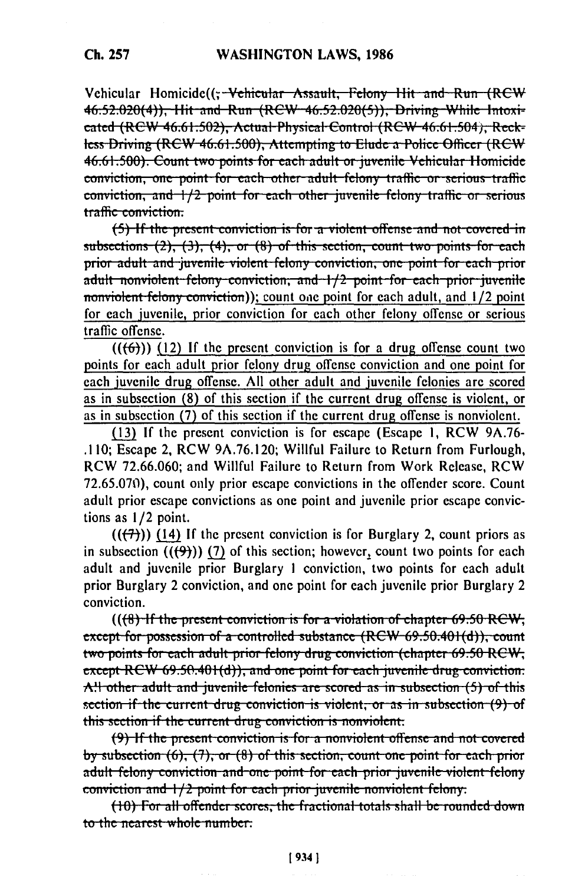Vehicular Homicide((; Vehicular Assault, Felony Hit and Run (RCW 46.52.020(4)), *Hit and Run (RCW 46.52.020(5))*, *Driving While Intoxi*cated (RCW 46.61.502), Actual Physical Control (RCW 46.61.504), Reckless Driving (RCW 46.61.500), Attempting to Elude a Police Officer (RCW **46.61.500). Count two points for each adult or juvenile Vehicular Homicide conviction, one point for each other adult felony traffic or serious traffic conviction, and 1/2 point for each other juvenile felony traffic or serious traffic** conviction:

**(5)** If the present conviction is for a violent offense and not covered in subsections (2), (3), (4), or (8) of this section, count two points for each prior adult and juvenile violent felony conviction, one point for each prior adult nonviolent felony conviction, and  $1/2$  point for each prior juvenile **11 11viol 1,t f%6,,y** covict onXG)); count **onie** point for each adult, and 1/2 point for each juvenile, prior conviction for each other felony offense or serious traffic offense.

**((6)))** (12) **If** the present conviction is for a drug offense count two points for each adult prior felony drug offense conviction and one point for each juvenile drug offense. **All** other adult and juvenile felonies are scored as in subsection **(8)** of this section if the current drug offense is violent, or as in subsection **(7)** of this section if the current drug offense is nonviolent.

**(13) If** the present conviction is for escape (Escape **i,** RCW **9A.76- .110;** Escape 2, RCW **9A.76.120;** Willful Failure to Return from Furlough, RCW **72.66.060;** and Willful Failure to Return from Work Release, RCW **72.65.070),** count only prior escape convictions in the offender score. Count adult prior escape convictions as one point and juvenile prior escape convictions as 1/2 point.

 $((\overline{(7)}))$  (14) If the present conviction is for Burglary 2, count priors as in subsection  $((\theta))$  (7) of this section; however, count two points for each adult and juvenile prior Burglary **I** conviction, two points for each adult prior Burglary 2 conviction, and one point for each juvenile prior Burglary 2 conviction.

**(((8) If the present conviction is for a violation of chapter 69.50 RCW;** except for possession of a controlled substance (RCW-69.50.401(d)), count **two points for each adult prior felony drug conviction (chapter 69.50 RCW, except RCW 69.50.401(d)), and one point for each juvenile drug conviction: A**<sup>l</sup> other adult and juvenile felonies are scored as in subsection (5) of this **isection if the current drug conviction is violent, or as in subsection (9) of** this section if the current drug conviction is nonviolent.

**(9) If the present conviction is for a nonviolent offense and not covered by subsection (6), (7), or (8) of this section, count one point for each prior** adult felony conviction and one point for each prior juvenile violent felony **conviction and 1/2 point for each prior juvenile nonviolent felony.** 

**(10) For all offender scores, the fractional totals shall be rounded down** to the nearest whole number.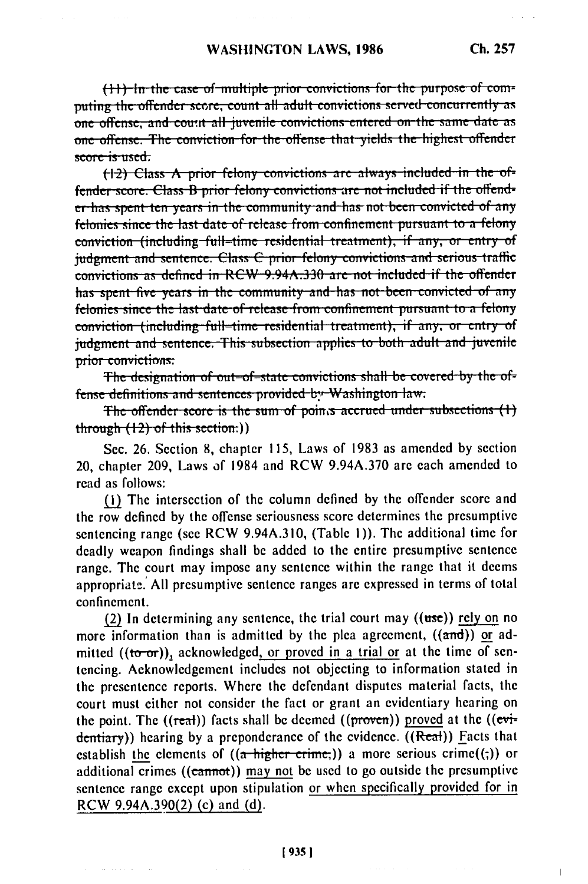**(11)** In the case of multiple prior convictions for the purpose of computing the offender score, count all adult convictions served concurrently as **pone offense, and count all juvenile convictions entered on the same date as one offense. The conviction for the offense that yields the highest offender** score-is-used.

(12) Class A prior felony convictions are always included in the of-**Inder score. Class B prior felony convictions are not included if the offender has spent ten years in the community and has not been convicted of any** felonies since the last date of release from confinement pursuant to a felony **conviction** (including full-time residential treatment), if any, or entry of judgment and sentence. Class C prior felony convictions and serious traffic **convictions as defined in RCW 9.94A.330 are not included if the offender has spent five years in the community and has not been convicted of any i** felonies since the last date of release from confinement pursuant to a felon conviction (including full-time residential treatment), if any, or entry of judgment and sentence. This subsection applies to both adult and juvenile prior convictions.

The designation of out-of-state convictions shall be covered by the offense definitions and sentences provided by Washington law:

The offender score is the sum of points accrued under subsections (1) through  $(12)$  of this section.)

Sec. **26.** Section **8,** chapter **115,** Laws of **1983** as amended **by** section 20, chapter **209,** Laws **of** 1984 and RCW **9.94A.370** are each amended to read as follows:

(1) The intersection of the column defined by the offender score and the row defined **by** the offense seriousness score determines the presumptive sentencing range (see RCW 9.94A.310, (Table **i)).** The additional time for deadly weapon findings shall **be** added to the entire presumptive sentence range. The court may impose any sentence within the range that it deems appropriate. **All** presumptive sentence ranges are expressed in terms of total confinement.

**(2** In determining any sentence, the trial court may ((use)) **rely on** no more information than is admitted **by** the plea agreement, **((and))** or admitted ((to-or)), acknowledged, or proved in a trial or at the time of sentcncing. Acknowledgement includes not objecting to information stated in the presentence reports. Where the defendant disputes material facts, the court must either not consider the fact or grant an evidentiary hearing on the point. The ((real)) facts shall **be** deemed **((proven)) proved** at the **((evi-** dentiary)) hearing by a preponderance of the evidence. ((Real)) Facts that establish the elements of  $((a-higher-erme))$  a more serious crime $((c))$  or additional crimes ((cannot)) may not be used to go outside the presumptive sentence range except upon stipulation or when specifically provided for in RCW 9.94A.390(2) (c) and **(d).**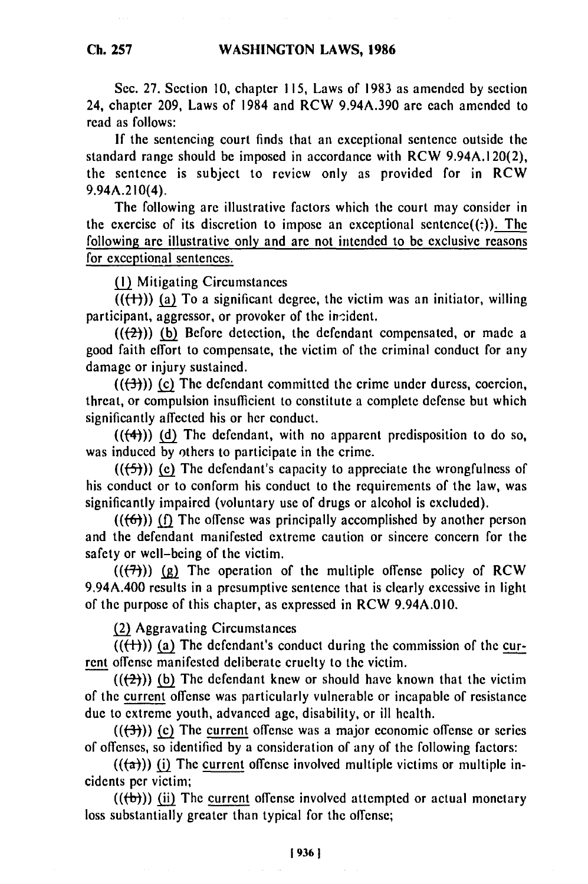Sec. **27.** Section **10,** chapter 115, Laws of 1983 as amended by section 24, chapter 209, Laws of 1984 and RCW 9.94A.390 are each amended to read as follows:

If the sentencing court finds that an exceptional sentence outside the standard range should be imposed in accordance with RCW 9.94A.120(2), the sentence is subject to review only as provided for in RCW 9.94A.210(4).

The following are illustrative factors which the court may consider in the exercise of its discretion to impose an exceptional sentence $((:)$ . The following are illustrative only and are not intended to be exclusive reasons for exceptional sentences.

(1) Mitigating Circumstances

 $((+))$  (a) To a significant degree, the victim was an initiator, willing participant, aggressor, or provoker of the incident.

 $((2))$  (b) Before detection, the defendant compensated, or made a good faith effort to compensate, the victim of the criminal conduct for any damage or injury sustained.

 $((\rightarrow))$  (c) The defendant committed the crime under duress, coercion, threat, or compulsion insufficient to constitute a complete defense but which significantly affected his or her conduct.

 $((+4))$  (d) The defendant, with no apparent predisposition to do so, was induced by others to participate in the crime.

**(((-5))) (c)** The defendant's capacity to appreciate the wrongfulness of his conduct or to conform his conduct to the requirements of the law, was significantly impaired (voluntary use of drugs or alcohol is excluded).

 $((\{6\}))$  (f) The offense was principally accomplished by another person and the defendant manifested extreme caution or sincere concern for the safety or well-being of the victim.

 $((\overrightarrow{(1)})$  (g) The operation of the multiple offense policy of RCW 9.94A.400 results in a presumptive sentence that is clearly excessive in light of the purpose of this chapter, as expressed in RCW 9.94A.010.

(2) Aggravating Circumstances

 $((+1))$  (a) The defendant's conduct during the commission of the current offense manifested deliberate cruelty to the victim.

 $((2))$  (b) The defendant knew or should have known that the victim of the current offense was particularly vulnerable or incapable of resistance due to extreme youth, advanced age, disability, or ill health.

 $((\rightarrow{(\rightarrow)})$  (c) The current offense was a major economic offense or series of offenses, so identified by a consideration of any of the following factors:

 $((a))$  (i) The current offense involved multiple victims or multiple incidents per victim;

 $((**(b)**))$  (ii) The current offense involved attempted or actual monetary loss substantially greater than typical for the offense;

**Ch. 257**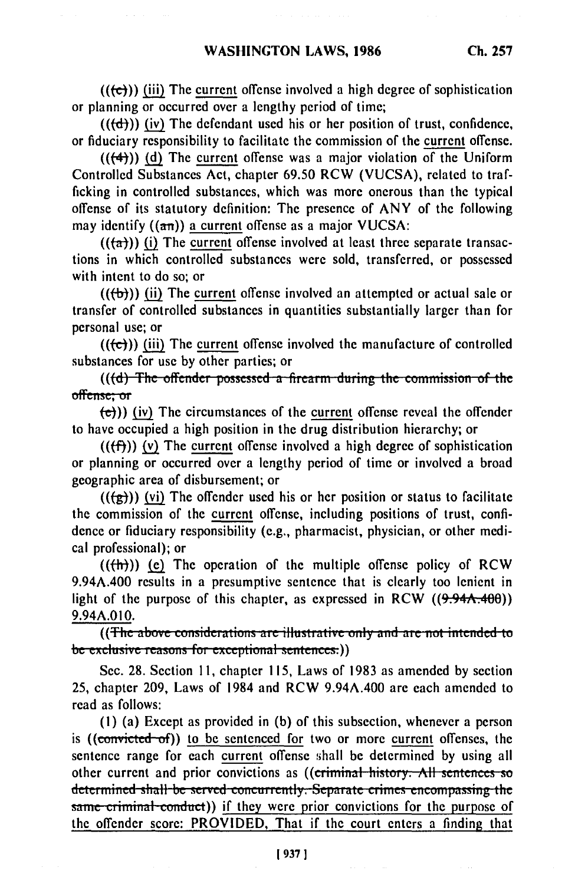$((\{\epsilon\}))$  (iii) The current offense involved a high degree of sophistication or planning or occurred over a lengthy period of time;

 $((\{d\}))$  (iv) The defendant used his or her position of trust, confidence, or fiduciary responsibility to facilitate the commission of the current offense.

 $((+4))$  (d) The current offense was a major violation of the Uniform Controlled Substances Act, chapter 69.50 RCW (VUCSA), related to trafficking in controlled substances, which was more onerous than the typical offense of its statutory definition: The presence of ANY of the following may identify  $((a\pi))$  a current offense as a major VUCSA:

 $((a))$  (i) The current offense involved at least three separate transactions in which controlled substances were sold, transferred, or possessed with intent to do so; or

 $((\forall b))$  (ii) The current offense involved an attempted or actual sale or transfer of controlled substances in quantities substantially larger than for personal use; or

 $((\overrightarrow{c}))$  (iii) The current offense involved the manufacture of controlled substances for use by other parties; or

 $((d)$  The offender possessed a firearm during the commission of the offense; or

 $(\overline{e})$ ) (iv) The circumstances of the current offense reveal the offender to have occupied a high position in the drug distribution hierarchy; or

 $((f\uparrow))$  (v) The current offense involved a high degree of sophistication or planning or occurred over a lengthy period of time or involved a broad geographic area of disbursement; or

 $((\overrightarrow{g}))$  (vi) The offender used his or her position or status to facilitate the commission of the current offense, including positions of trust, confidence or fiduciary responsibility (e.g., pharmacist, physician, or other medical professional); or

 $((+))$  (e) The operation of the multiple offense policy of RCW 9.94A.400 results in a presumptive sentence that is clearly too lenient in light of the purpose of this chapter, as expressed in RCW  $((9.94A.400))$ 9.94A.0 10.

**((The above considerations are illustrative only and are not intended to** be exclusive reasons for exceptional sentences:))

Sec. 28. Section **II,** chapter 115, Laws of 1983 as amended by section 25, chapter 209, Laws of 1984 and RCW 9.94A.400 are each amended to read as follows:

**(1)** (a) Except as provided in (b) of this subsection, whenever a person is ((convicted of)) to be sentenced for two or more current offenses, the sentence range for each current offense shall be determined by using all other current and prior convictions as ((criminal history. All sentences so determined shall be served concurrently. Separate crimes encompassing the same criminal conduct)) if they were prior convictions for the purpose of the offender score: PROVIDED, That if the court enters a finding that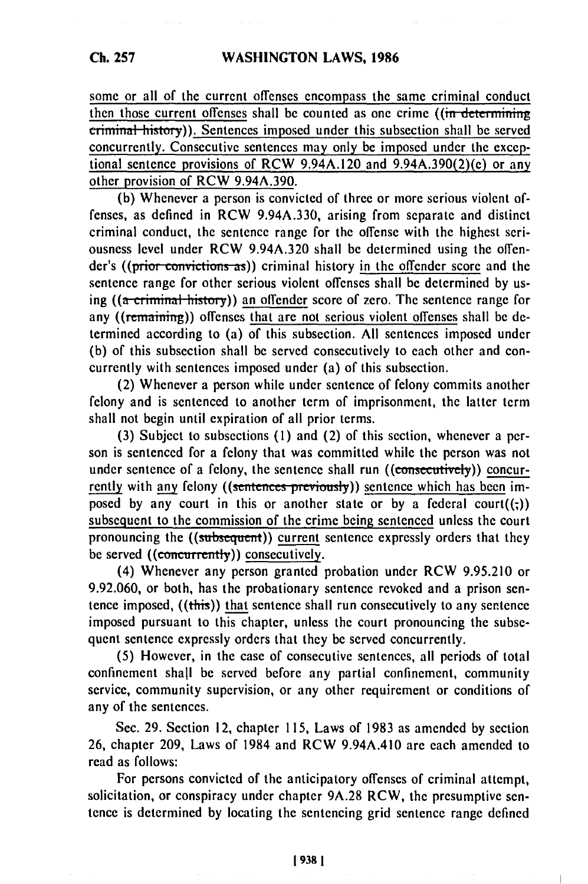some or all of the current offenses encompass the same criminal conduct then those current offenses shall be counted as one crime ((in determining criminal-history)). Sentences imposed under this subsection shall be served concurrently. Consecutive sentences may only be imposed under the exceptional sentence provisions of RCW 9.94A.120 and 9.94A.390(2)(e) or any other provision of RCW 9.94A.390.

(b) Whenever a person is convicted of three or more serious violent offenses, as defined in RCW 9.94A.330, arising from separate and distinct criminal conduct, the sentence range for the offense with the highest seriousness level under RCW 9.94A.320 shall be determined using the offender's ((prior convictions as)) criminal history in the offender score and the sentence range for other serious violent offenses shall be determined by using  $((a-*eriminal*-*history*))$  an offender score of zero. The sentence range for any ((remaining)) offenses that are not serious violent offenses shall be determined according to (a) of this subsection. All sentences imposed under (b) of this subsection shall be served consecutively to each other and concurrently with sentences imposed under (a) of this subsection.

(2) Whenever a person while under sentence of felony commits another felony and is sentenced to another term of imprisonment, the latter term shall not begin until expiration of all prior terms.

(3) Subject to subsections **(1)** and (2) of this section, whenever a person is sentenced for a felony that was committed while the person was not under sentence of a felony, the sentence shall run ((consecutively)) concurrently with any felony ((sentences previously)) sentence which has been imposed by any court in this or another state or by a federal court( $($ ;)) subsequent to the commission of the crime being sentenced unless the court pronouncing the ((subsequent)) current sentence expressly orders that they be served ((concurrently)) consecutively.

(4) Whenever any person granted probation under RCW 9.95.210 or 9.92.060, or both, has the probationary sentence revoked and a prison sentence imposed, ((this)) that sentence shall run consecutively to any sentence imposed pursuant to this chapter, unless the court pronouncing the subsequent sentence expressly orders that they be served concurrently.

(5) However, in the case of consecutive sentences, all periods of total confinement shall be served before any partial confinement, community service, community supervision, or any other requirement or conditions of any of the sentences.

Sec. 29. Section 12, chapter 115, Laws of 1983 as amended by section 26, chapter 209, Laws of 1984 and RCW 9.94A.410 are each amended to read as follows:

For persons convicted of the anticipatory offenses of criminal attempt, solicitation, or conspiracy under chapter 9A.28 RCW, the presumptive sentence is determined by locating the sentencing grid sentence range defined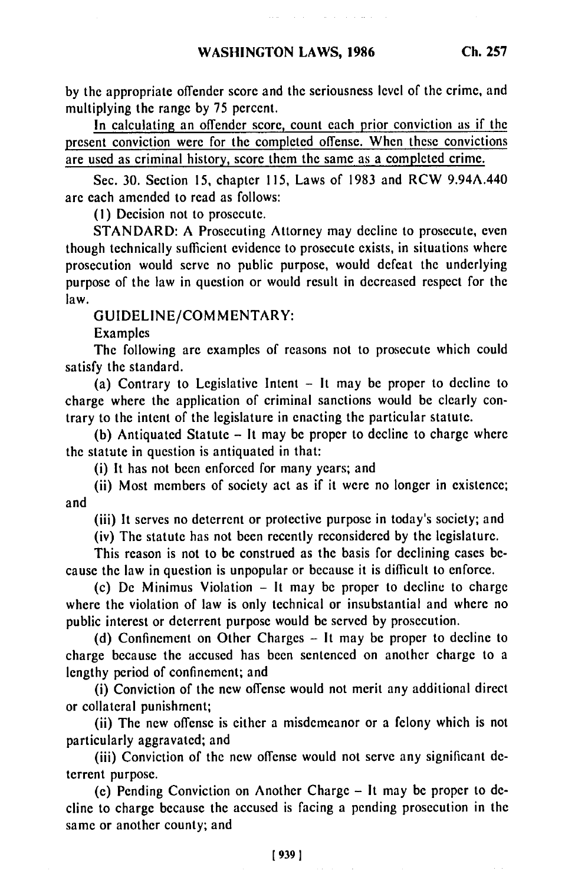**by** the appropriate offender score and the seriousness level of the crime, and multiplying the range by 75 percent.

In calculating an offender score, count each prior conviction as if the present conviction were for the completed offense. When these convictions are used as criminal history, score them the same as a completed crime.

Sec. 30. Section 15, chapter 115, Laws of 1983 and RCW 9.94A.440 are each amended to read as follows:

**(1)** Decision not to prosecute.

STANDARD: A Prosecuting Attorney may decline to prosecute, even though technically sufficient evidence to prosecute exists, in situations where prosecution would serve no public purpose, would defeat the underlying purpose of the law in question or would result in decreased respect for the law.

GUIDELINE/COMMENTARY:

Examples

The following are examples of reasons not to prosecute which could satisfy the standard.

(a) Contrary to Legislative Intent - It may be proper to decline to charge where the application of criminal sanctions would be clearly contrary to the intent of the legislature in enacting the particular statute.

(b) Antiquated Statute - It may be proper to decline to charge where the statute in question is antiquated in that:

(i) It has not been enforced for many years; and

(ii) Most members of society act as if it were no longer in existence; and

(iii) It serves no deterrent or protective purpose in today's society; and

(iv) The statute has not been recently reconsidered by the legislature.

This reason is not to be construed as the basis for declining cases because the law in question is unpopular or because it is difficult to enforce.

(c) De Minimus Violation - It may be proper to decline to charge where the violation of law is only technical or insubstantial and where no public interest or deterrent purpose would be served by prosecution.

(d) Confinement on Other Charges - It may be proper to decline to charge because the accused has been sentenced on another charge to a lengthy period of confinement; and

(i) Conviction of the new offense would not merit any additional direct or collateral punishment;

(ii) The new offense is either a misdemeanor or a felony which is not particularly aggravated; and

(iii) Conviction of the new offense would not serve any significant deterrent purpose.

(e) Pending Conviction on Another Charge - It may be proper to decline to charge because the accused is facing a pending prosecution in the same or another county; and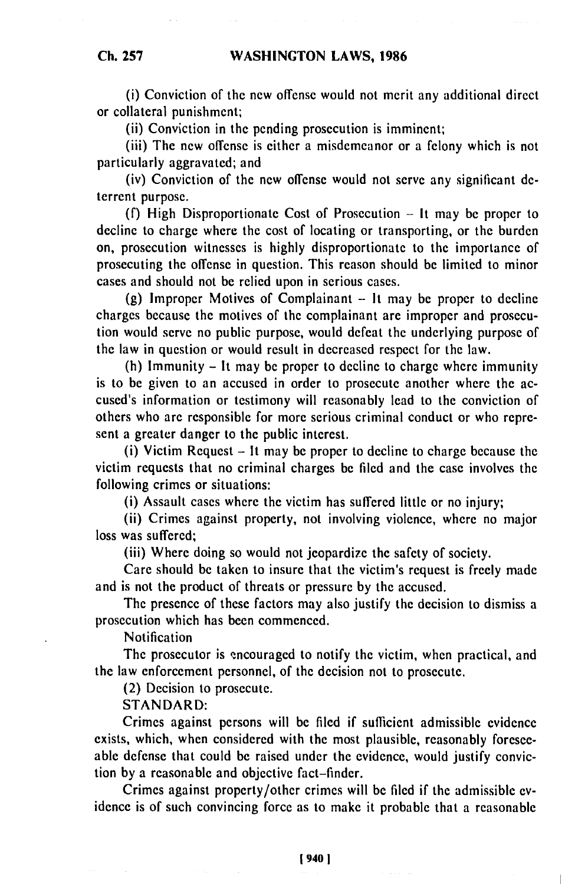(i) Conviction of the new offense would not merit any additional direct or collateral punishment;

(ii) Conviction in the pending prosecution is imminent;

(iii) The new offense is either a misdemeanor or a felony which is not particularly aggravated; and

(iv) Conviction of the new offense would not serve any significant deterrent purpose.

(f) High Disproportionate Cost of Prosecution - It may be proper to decline to charge where the cost of locating or transporting, or the burden on, prosecution witnesses is highly disproportionate to the importance of prosecuting the offense in question. This reason should be limited to minor cases and should not be relied upon in serious cases.

(g) Improper Motives of Complainant - It may be proper to decline charges because the motives of the complainant are improper and prosecution would serve no public purpose, would defeat the underlying purpose of the law in question or would result in decreased respect for the law.

(h) Immunity - It may be proper to decline to charge where immunity is to be given to an accused in order to prosecute another where the accused's information or testimony will reasonably lead to the conviction of others who are responsible for more serious criminal conduct or who represent a greater danger to the public interest.

(i) Victim Request - It may be proper to decline to charge because the victim requests that no criminal charges be filed and the case involves the following crimes or situations:

(i) Assault cases where the victim has suffered little or no injury;

(ii) Crimes against property, not involving violence, where no major loss was suffered;

(iii) Where doing so would not jeopardize the safety of society.

Care should be taken to insure that the victim's request is freely made and is not the product of threats or pressure by the accused.

The presence of these factors may also justify the decision to dismiss a prosecution which has been commenced.

**Notification** 

The prosecutor is encouraged to notify the victim, when practical, and the law enforcement personnel, of the decision not to prosecute.

(2) Decision to prosecute.

STANDARD:

Crimes against persons will be filed if sufficient admissible evidence exists, which, when considered with the most plausible, reasonably foreseeable defense that could be raised under the evidence, would justify conviction by a reasonable and objective fact-finder.

Crimes against property/other crimes will be filed if the admissible evidence is of such convincing force as to make it probable that a reasonable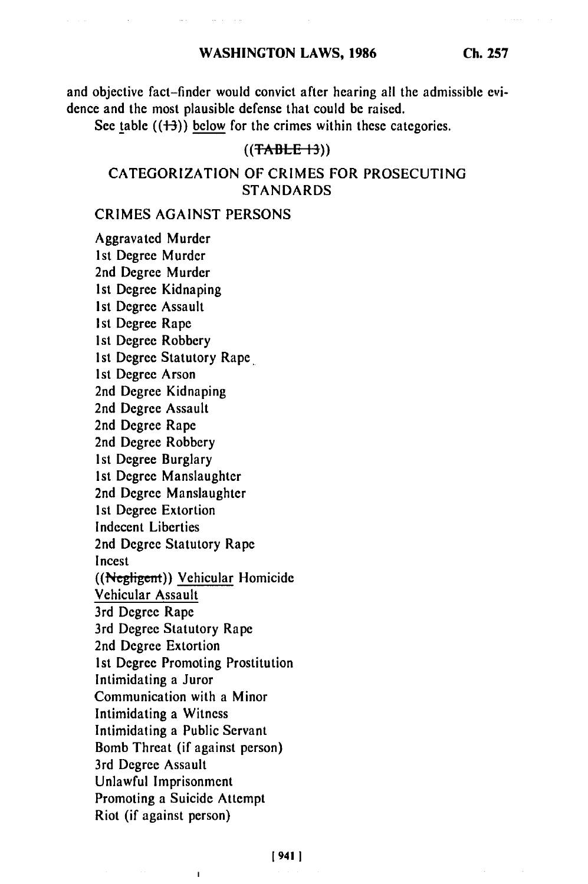and objective fact-finder would convict after hearing all the admissible evidence and the most plausible defense that could be raised.

See table  $((+3))$  below for the crimes within these categories.

## ((TABLE **13))**

## CATEGORIZATION OF CRIMES FOR PROSECUTING STANDARDS

## CRIMES AGAINST PERSONS

Aggravated Murder 1st Degree Murder 2nd Degree Murder 1st Degree Kidnaping 1st Degree Assault **Ist** Degree Rape 1st Degree Robbery 1st Degree Statutory Rape 1st Degree Arson 2nd Degree Kidnaping 2nd Degree Assault 2nd Degree Rape 2nd Degree Robbery 1st Degree Burglary Ist Degree Manslaughter 2nd Degree Manslaughter Ist Degree Extortion Indecent Liberties 2nd Degree Statutory Rape Incest ((Negligent)) Vehicular Homicide Vehicular Assault 3rd Degree Rape 3rd Degree Statutory Rape 2nd Degree Extortion Ist Degree Promoting Prostitution Intimidating a Juror Communication with a Minor Intimidating a Witness Intimidating a Public Servant Bomb Threat (if against person) 3rd Degree Assault Unlawful Imprisonment Promoting a Suicide Attempt Riot (if against person)

 $\mathbf{I}$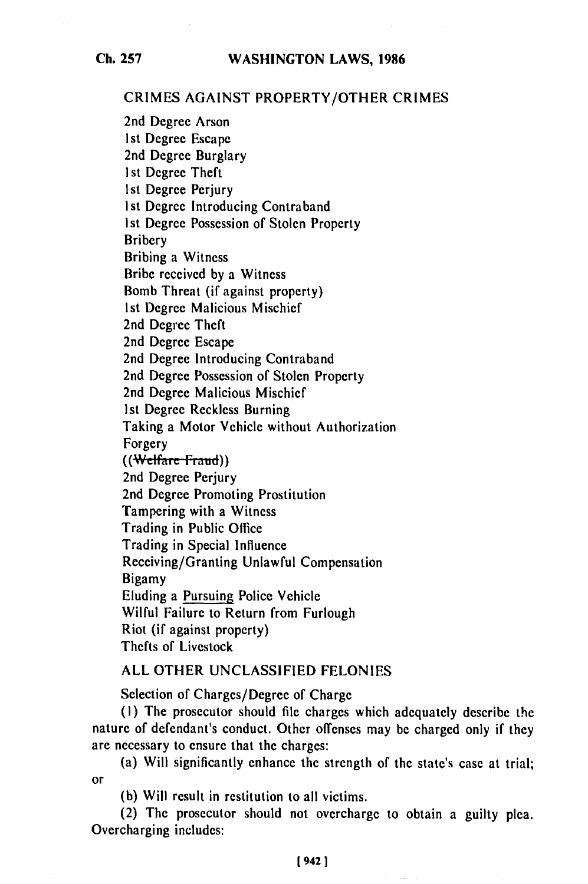## **Ch. 257**

## CRIMES **AGAINST** PROPERTY/OTHER CRIMES

2nd Degree Arson 1st Degree Escape 2nd Degree Burglary Ist Degree Theft Ist Degree Perjury Ist Degree Introducing Contraband ist Degree Possession of Stolen Property Bribery Bribing a Witness Bribe received by a Witness Bomb Threat (if against property) Ist Degree Malicious Mischief 2nd Degree Theft 2nd Degree Escape 2nd Degree Introducing Contraband 2nd Degree Possession of Stolen Property 2nd Degree Malicious Mischief 1st Degree Reckless Burning Taking a Motor Vehicle without Authorization Forgery  $((\text{Welfare } \text{Fraud}))$ 2nd Degree Perjury 2nd Degree Promoting Prostitution Tampering with a Witness Trading in Public Office Trading in Special Influence Receiving/Granting Unlawful Compensation Bigamy Eluding a Pursuing Police Vehicle Wilful Failure to Return from Furlough Riot (if against property) Thefts of Livestock

## ALL OTHER UNCLASSIFIED FELONIES

Selection of Charges/Degree of Charge

(I) The prosecutor should file charges which adequately describe the nature of defendant's conduct. Other offenses may be charged only if they are necessary to ensure that the charges:

(a) Will significantly enhance the strength of the state's case at trial; or

(b) Will result in restitution to all victims.

(2) The prosecutor should not overcharge to obtain a guilty plea. Overcharging includes: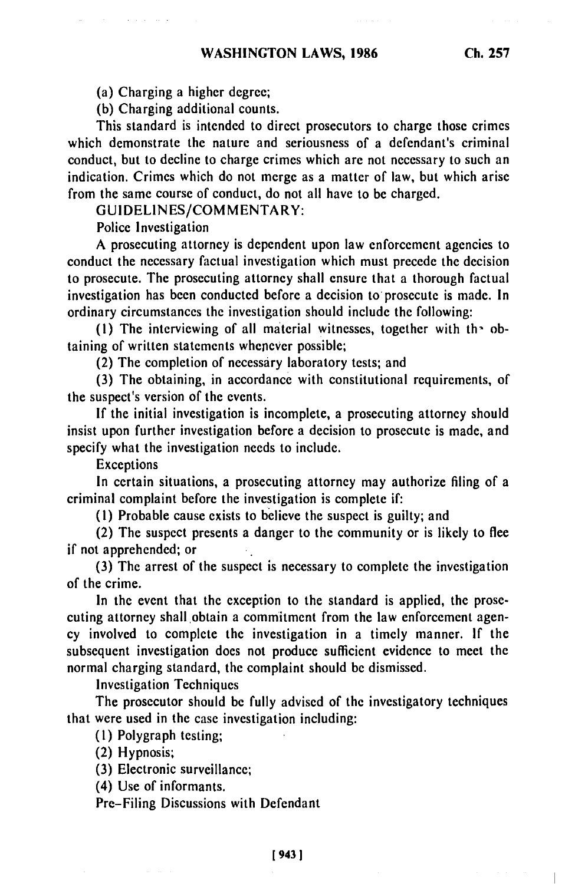(a) Charging a higher degree;

(b) Charging additional counts.

This standard is intended to direct prosecutors to charge those crimes which demonstrate the nature and seriousness of a defendant's criminal conduct, but to decline to charge crimes which are not necessary to such an indication. Crimes which do not merge as a matter of law, but which arise from the same course of conduct, do not all have to be charged.

**GUIDELINES/COMMENTARY:**

Police Investigation

A prosecuting attorney is dependent upon law enforcement agencies to conduct the necessary factual investigation which must precede the decision to prosecute. The prosecuting attorney shall ensure that a thorough factual investigation has been conducted before a decision to prosecute is made. In ordinary circumstances the investigation should include the following:

(1) The interviewing of all material witnesses, together with the obtaining of written statements whenever possible;

(2) The completion of necessary laboratory tests; and

**(3)** The obtaining, in accordance with constitutional requirements, of the suspect's version of the events.

If the initial investigation is incomplete, a prosecuting attorney should insist upon further investigation before a decision to prosecute is made, and specify what the investigation needs to include.

Exceptions

In certain situations, a prosecuting attorney may authorize filing of a criminal complaint before the investigation is complete if:

**(1)** Probable cause exists to believe the suspect is guilty; and

(2) The suspect presents a danger to the community or is likely to flee if not apprehended; or

(3) The arrest of the suspect is necessary to complete the investigation of the crime.

In the event that the exception to the standard is applied, the prosecuting attorney shall obtain a commitment from the law enforcement agency involved to complete the investigation in a timely manner. If the subsequent investigation does not produce sufficient evidence to meet the normal charging standard, the complaint should be dismissed.

Investigation Techniques

The prosecutor should be fully advised of the investigatory techniques that were used in the case investigation including:

(I) Polygraph testing;

(2) Hypnosis;

(3) Electronic surveillance;

(4) Use of informants.

Pre-Filing Discussions with Defendant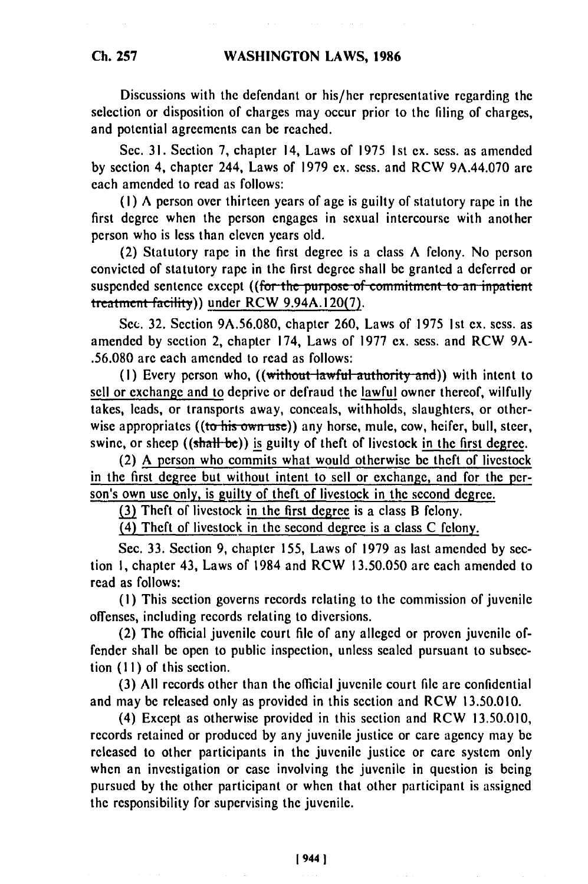Discussions with the defendant or his/her representative regarding the selection or disposition of charges may occur prior to the filing of charges, and potential agreements can be reached.

Sec. 31. Section 7, chapter 14, Laws of 1975 Ist ex. sess. as amended by section 4, chapter 244, Laws of 1979 ex. sess. and RCW 9A.44.070 are each amended to read as follows:

(I) A person over thirteen years of age is guilty of statutory rape in the first degree when the person engages in sexual intercourse with another person who is less than eleven years old.

(2) Statutory rape in the first degree is a class A felony. No person convicted of statutory rape in the first degree shall be granted a deferred or suspended sentence except ((for the purpose of commitment to an inpatient treatment facility)) under RCW 9.94A.120(7).

Sec. 32. Section 9A.56.080, chapter 260, Laws of 1975 Ist ex. sess. as amended by section 2, chapter 174, Laws of 1977 ex. sess. and RCW 9A- .56.080 are each amended to read as follows:

(1) Every person who, ((without lawful authority and)) with intent to sell or exchange and to deprive or defraud the lawful owner thereof, wilfully takes, leads, or transports away, conceals, withholds, slaughters, or otherwise appropriates ((to his own use)) any horse, mule, cow, heifer, bull, steer, swine, or sheep  $((shall-be))$  is guilty of theft of livestock in the first degree.

(2) A person who commits what would otherwise be theft of livestock in the first degree but without intent to sell or exchange, and for the person's own use only, is guilty of theft of livestock in the second degree.

**(3)** Theft of livestock in the first degree is a class B felony.

(4) Theft of livestock in the second degree is a class C felony.

Sec. 33. Section 9, chapter 155, Laws of 1979 as last amended by section **1,** chapter 43, Laws of 1984 and RCW 13.50.050 are each amended to read as follows:

**(1)** This section governs records relating to the commission of juvenile offenses, including records relating to diversions.

(2) The official juvenile court file of any alleged or proven juvenile offender shall be open to public inspection, unless sealed pursuant to subsection **(I I)** of this section.

(3) All records other than the official juvenile court file are confidential and may be released only as provided in this section and RCW 13.50.010.

(4) Except as otherwise provided in this section and RCW 13.50.010, records retained or produced by any juvenile justice or care agency may be released to other participants in the juvenile justice or care system only when an investigation or case involving the juvenile in question is being pursued by the other participant or when that other participant is assigned the responsibility for supervising the juvenile.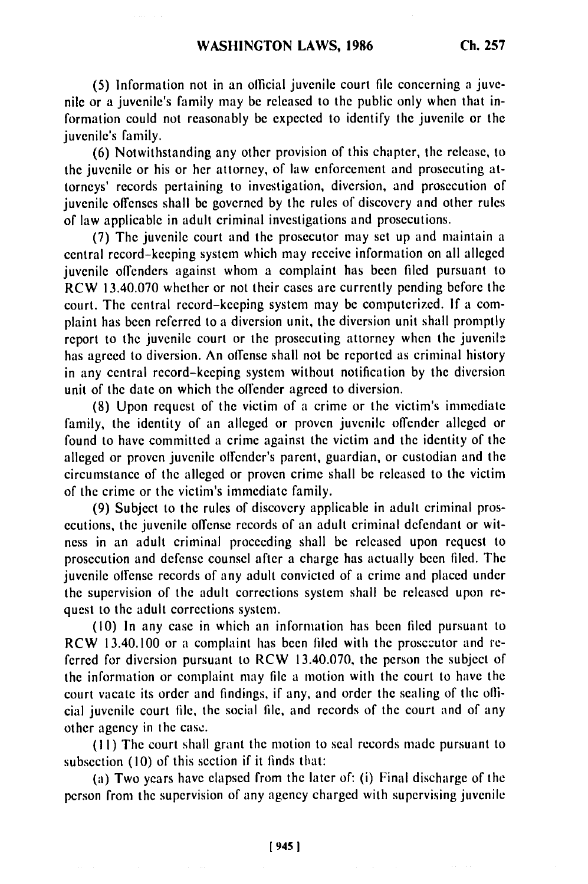**(5)** Information not in an official juvenile court file concerning a juvenile or a juvenile's family may be released to the public only when that information could not reasonably be expected to identify the juvenile or the juvenile's family.

(6) Notwithstanding any other provision of this chapter, the release, to the juvenile or his or her attorney, of law enforcement and prosecuting attorneys' records pertaining to investigation, diversion, and prosecution of juvenile offenses shall be governed by the rules of discovery and other rules of law applicable in adult criminal investigations and prosecutions.

(7) The juvenile court and the prosecutor may set up and maintain a central record-keeping system which may receive information on all alleged juvenile offenders against whom a complaint has been filed pursuant to RCW 13.40.070 whether or not their cases are currently pending before the court. The central record-keeping system may be computerized. If a complaint has been referred to a diversion unit, the diversion unit shall promptly report to the juvenile court or the prosecuting attorney when the juvenil2 has agreed to diversion. An offense shall not be reported as criminal history in any central record-keeping system without notification by the diversion unit of the date on which the offender agreed to diversion.

(8) Upon request of the victim of a crime or the victim's immediate family, the identity of an alleged or proven juvenile offender alleged or found to have committed a crime against the victim and the identity of the alleged or proven juvenile offender's parent, guardian, or custodian and the circumstance of the alleged or proven crime shall be released to the victim of the crime or the victim's immediate family.

(9) Subject to the rules of discovery applicable in adult criminal prosecutions, the juvenile offense records of an adult criminal defendant or witness in an adult criminal proceeding shall be released upon request to prosecution and defense counsel after a charge has actually been filed. The juvenile offense records of any adult convicted of a crime and placed under the supervision of the adult corrections system shall be released upon request to the adult corrections system.

**(10)** In any case in which an information has been filed pursuant to RCW 13.40.100 or a complaint has been filed with the prosecutor and referred for diversion pursuant to RCW 13.40.070, the person the subject of the information or complaint may file a motion with the court to have the court vacate its order and findings, if any, and order the sealing of the olticial juvenile court file, the social file, and records of the court and of any other agency in the case.

**(II)** The court shall grant the motion to seal records made pursuant to subsection **(10)** of this section if it finds that:

(a) Two years have elapsed from the later of: (i) Final discharge of the person from the supervision of any agency charged with supervising juvenile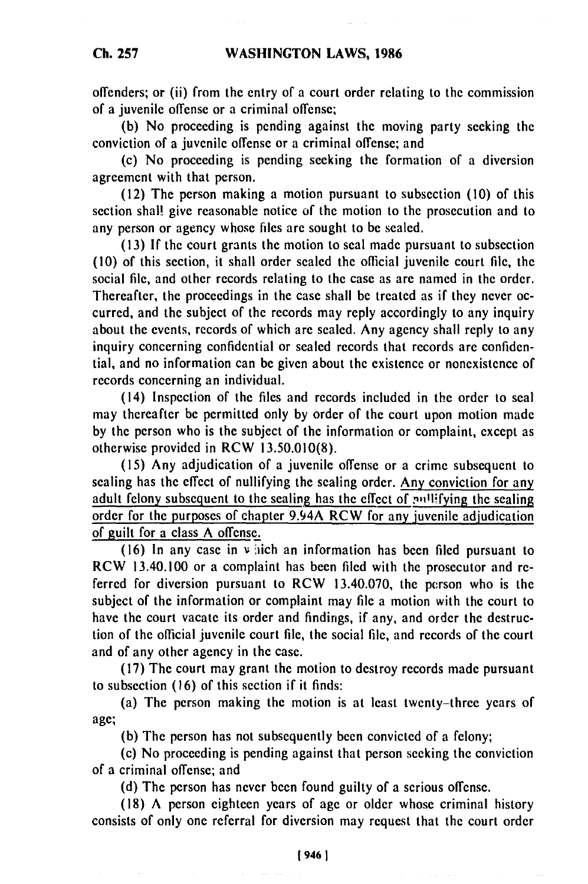offenders; or (ii) from the entry of a court order relating to the commission of a juvenile offense or a criminal offense;

(b) No proceeding is pending against the moving party seeking the conviction of a juvenile offense or a criminal offense; and

(c) No proceeding is pending seeking the formation of a diversion agreement with that person.

(12) The person making a motion pursuant to subsection (10) of this section shal! give reasonable notice of the motion to the prosecution and to any person or agency whose files are sought to be sealed.

(13) If the court grants the motion to seal made pursuant to subsection (10) of this section, it shall order sealed the official juvenile court file, the social file, and other records relating to the case as are named in the order. Thereafter, the proceedings in the case shall be treated as if they never occurred, and the subject of the records may reply accordingly to any inquiry about the events, records of which are sealed. Any agency shall reply to any inquiry concerning confidential or sealed records that records are confidential, and no information can be given about the existence or nonexistence of records concerning an individual.

(14) Inspection of the files and records included in the order to seal may thereafter be permitted only by order of the court upon motion made by the person who is the subject of the information or complaint, except as otherwise provided in RCW 13.50.010(8).

**(15)** Any adjudication of a juvenile offense or a crime subsequent to sealing has the effect of nullifying the sealing order. Any conviction for any adult felony subsequent to the sealing has the effect of millifying the sealing order for the purposes of chapter 9.94A RCW for any juvenile adjudication of guilt for a class A offense.

(16) In any case in  $\bf{v}$  hich an information has been filed pursuant to RCW 13.40.100 or a complaint has been filed with the prosecutor and referred for diversion pursuant to RCW 13.40.070, the person who is the subject of the information or complaint may file a motion with the court to have the court vacate its order and findings, if any, and order the destruction of the official juvenile court file, the social file, and records of the court and of any other agency in the case.

(17) The court may grant the motion to destroy records made pursuant to subsection (16) of this section if it finds:

(a) The person making the motion is at least twenty-three years of age;

(b) The person has not subsequently been convicted of a felony;

(c) No proceeding is pending against that person seeking the conviction of a criminal offense; and

(d) The person has never been found guilty of a serious offense.

(18) A person eighteen years of age or older whose criminal history consists of only one referral for diversion may request that the court order

( **946** 1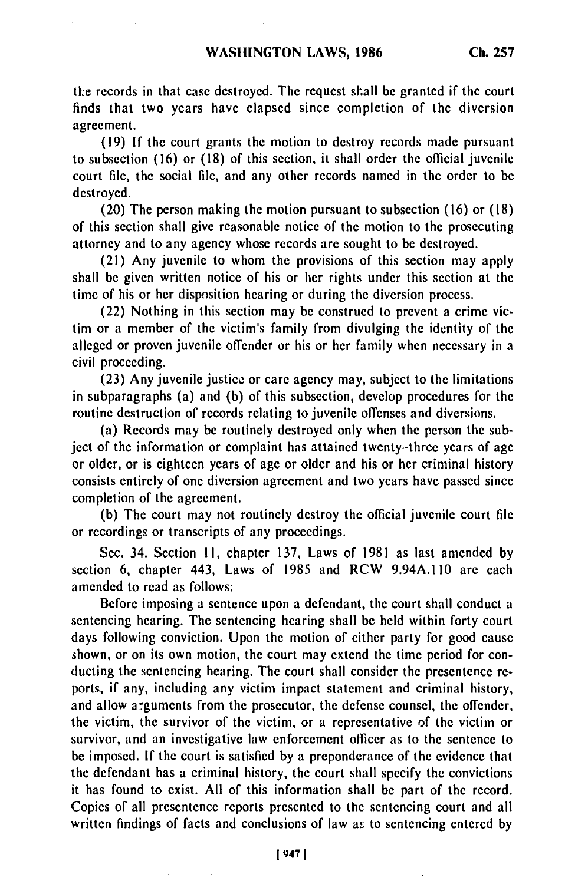the records in that case destroyed. The request shall be granted if the court finds that two years have elapsed since completion of the diversion agreement.

(19) If the court grants the motion to destroy records made pursuant to subsection (16) or (18) of this section, it shall order the official juvenile court file, the social file, and any other records named in the order to be destroyed.

(20) The person making the motion pursuant to subsection (16) or (18) of this section shall give reasonable notice of the motion to the prosecuting attorney and to any agency whose records are sought to be destroyed.

(21) Any juvenile to whom the provisions of this section may apply shall be given written notice of his or her rights under this section at the time of his or her disposition hearing or during the diversion process.

(22) Nothing in this section may be construed to prevent a crime victim or a member of the victim's family from divulging the identity of the alleged or proven juvenile offender or his or her family when necessary in a civil proceeding.

(23) Any juvenile justice or care agency may, subject to the limitations in subparagraphs (a) and **(b)** of this subsection, develop procedures for the routine destruction of records relating to juvenile offenses and diversions.

(a) Records may be routinely destroyed only when the person the subject of the information or complaint has attained twenty-three years of age or older, or is eighteen years of age or older and his or her criminal history consists entirely of one diversion agreement and two years have passed since completion of the agreement.

(b) The court may not routinely destroy the official juvenile court file or recordings or transcripts of any proceedings.

Sec. 34. Section II, chapter 137, Laws of 1981 as last amended by section 6, chapter 443, Laws of 1985 and RCW 9.94A.110 are each amended to read as follows:

Before imposing a sentence upon a defendant, the court shall conduct a sentencing hearing. The sentencing hearing shall be held within forty court days following conviction. Upon the motion of either party for good cause shown, or on its own motion, the court may extend the time period for conducting the sentencing hearing. The court shall consider the presentence reports, if any, including any victim impact statement and criminal history, and allow arguments from the prosecutor, the defense counsel, the offender, the victim, the survivor of the victim, or a representative of the victim or survivor, and an investigative law enforcement officer as to the sentence to be imposed. If the court is satisfied by a preponderance of the evidence that the defendant has a criminal history, the court shall specify the convictions it has found to exist. All of this information shall be part of the record. Copies of all presentence reports presented to the sentencing court and all written findings of facts and conclusions of law as to sentencing entered by